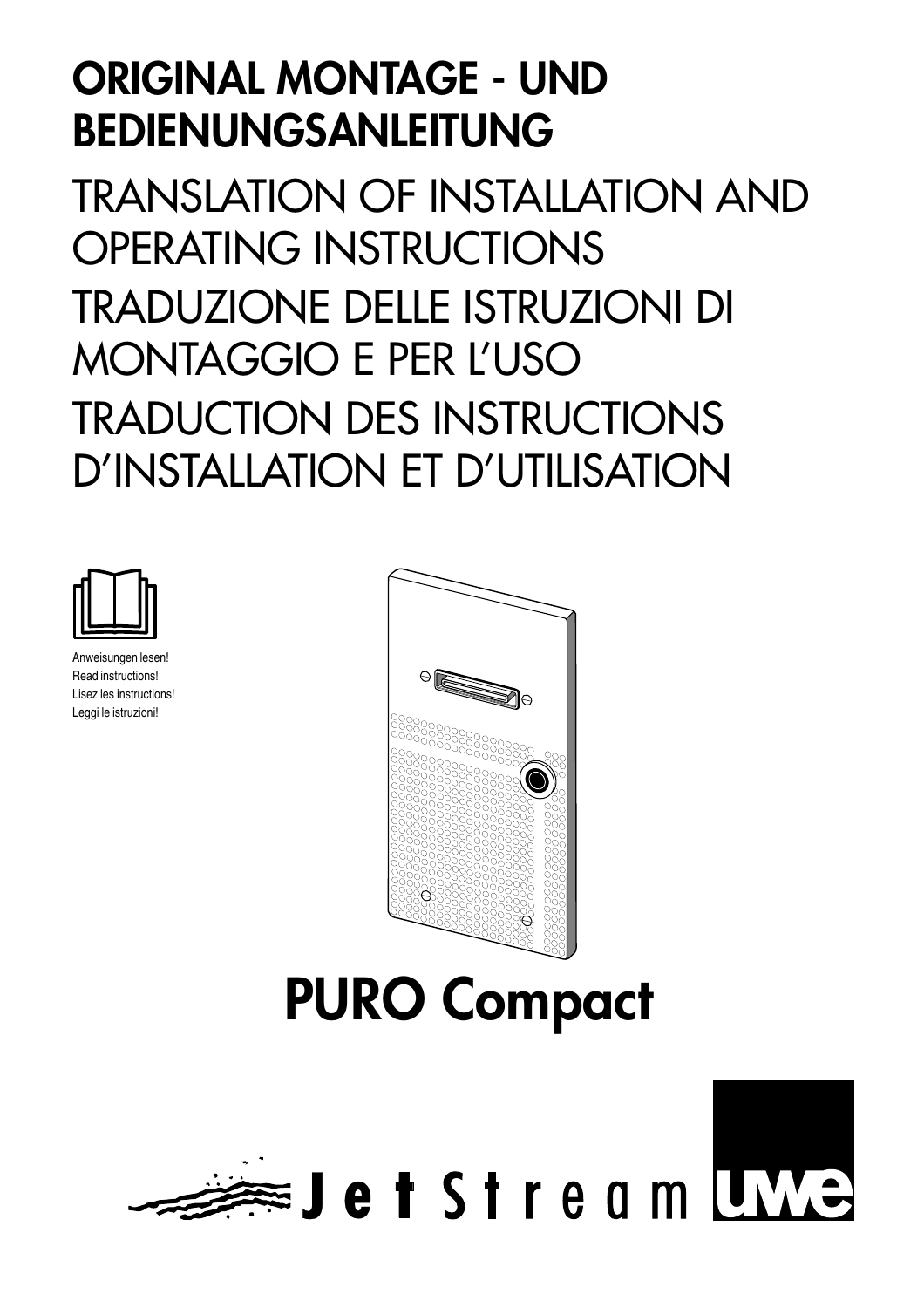# **ORIGINAL MONTAGE - UND BEDIENUNGSANLEITUNG**

TRANSLATION OF INSTALLATION AND OPERATING INSTRUCTIONS TRADUZIONE DELLE ISTRUZIONI DI MONTAGGIO E PER L'USO TRADUCTION DES INSTRUCTIONS D'INSTALLATION ET D'UTILISATION



Anweisungen lesen! Read instructions! Lisez les instructions! Leggi le istruzioni!



# **PURO Compact**

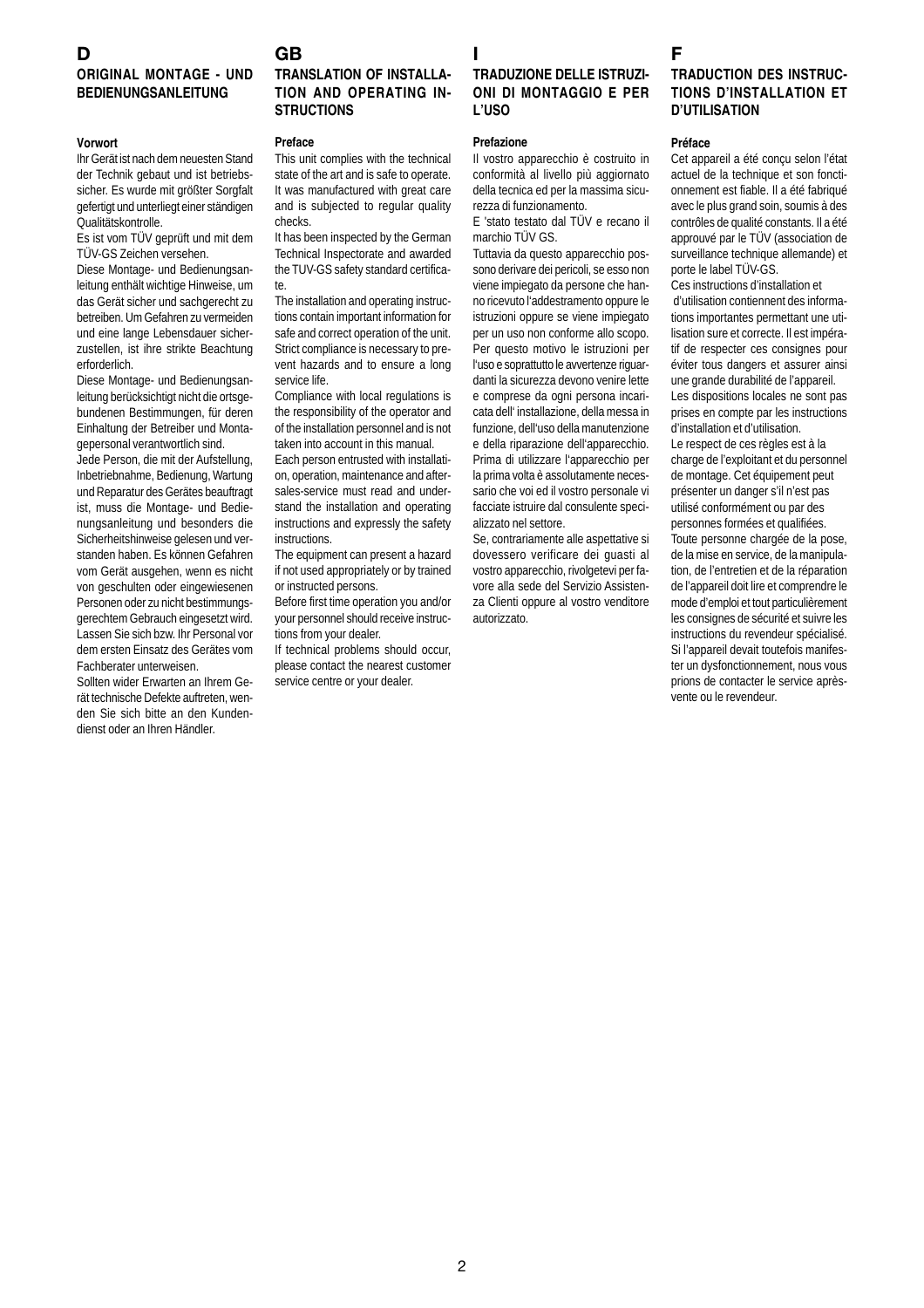# **D**

# **GB**

# **ORIGINAL MONTAGE - UND BEDIENUNGSANLEITUNG**

#### **Vorwort**

Ihr Gerät ist nach dem neuesten Stand der Technik gebaut und ist betriebssicher. Es wurde mit größter Sorgfalt gefertigt und unterliegt einer ständigen Qualitätskontrolle.

Es ist vom TÜV geprüft und mit dem TÜV-GS Zeichen versehen.

Diese Montage- und Bedienungsanleitung enthält wichtige Hinweise, um das Gerät sicher und sachgerecht zu betreiben. Um Gefahren zu vermeiden und eine lange Lebensdauer sicherzustellen, ist ihre strikte Beachtung erforderlich.

Diese Montage- und Bedienungsanleitung berücksichtigt nicht die ortsgebundenen Bestimmungen, für deren Einhaltung der Betreiber und Montagepersonal verantwortlich sind.

Jede Person, die mit der Aufstellung, Inbetriebnahme, Bedienung, Wartung und Reparatur des Gerätes beauftragt ist, muss die Montage- und Bedienungsanleitung und besonders die Sicherheitshinweise gelesen und verstanden haben. Es können Gefahren vom Gerät ausgehen, wenn es nicht von geschulten oder eingewiesenen Personen oder zu nicht bestimmungsgerechtem Gebrauch eingesetzt wird. Lassen Sie sich bzw. Ihr Personal vor dem ersten Einsatz des Gerätes vom Fachberater unterweisen.

Sollten wider Erwarten an Ihrem Gerät technische Defekte auftreten, wenden Sie sich bitte an den Kundendienst oder an Ihren Händler.

# **TRANSLATION OF INSTALLA-TION AND OPERATING IN-STRUCTIONS**

#### **Preface**

This unit complies with the technical state of the art and is safe to operate. It was manufactured with great care and is subjected to regular quality checks.

It has been inspected by the German Technical Inspectorate and awarded the TUV-GS safety standard certificate.

The installation and operating instructions contain important information for safe and correct operation of the unit. Strict compliance is necessary to prevent hazards and to ensure a long service life.

Compliance with local regulations is the responsibility of the operator and of the installation personnel and is not taken into account in this manual.

Each person entrusted with installation, operation, maintenance and aftersales-service must read and understand the installation and operating instructions and expressly the safety instructions.

The equipment can present a hazard if not used appropriately or by trained or instructed persons.

Before first time operation you and/or your personnel should receive instructions from your dealer.

If technical problems should occur, please contact the nearest customer service centre or your dealer.

# **I TRADUZIONE DELLE ISTRUZI-ONI DI MONTAGGIO E PER L'USO**

#### **Prefazione**

Il vostro apparecchio è costruito in conformità al livello più aggiornato della tecnica ed per la massima sicurezza di funzionamento.

E 'stato testato dal TÜV e recano il marchio TÜV GS.

Tuttavia da questo apparecchio possono derivare dei pericoli, se esso non viene impiegato da persone che hanno ricevuto l'addestramento oppure le istruzioni oppure se viene impiegato per un uso non conforme allo scopo. Per questo motivo le istruzioni per l'uso e soprattutto le avvertenze riguardanti la sicurezza devono venire lette e comprese da ogni persona incaricata dell' installazione, della messa in funzione, dell'uso della manutenzione e della riparazione dell'apparecchio. Prima di utilizzare l'apparecchio per la prima volta è assolutamente necessario che voi ed il vostro personale vi facciate istruire dal consulente specializzato nel settore.

Se, contrariamente alle aspettative si dovessero verificare dei guasti al vostro apparecchio, rivolgetevi per favore alla sede del Servizio Assistenza Clienti oppure al vostro venditore autorizzato.

# **F**

# **TRADUCTION DES INSTRUC-TIONS D'INSTALLATION ET D'UTILISATION**

#### **Préface**

Cet appareil a été conçu selon l'état actuel de la technique et son fonctionnement est fiable. Il a été fabriqué avec le plus grand soin, soumis à des contrôles de qualité constants. Il a été approuvé par le TÜV (association de surveillance technique allemande) et porte le label TÜV-GS.

Ces instructions d'installation et d'utilisation contiennent des informations importantes permettant une utilisation sure et correcte. Il est impératif de respecter ces consignes pour éviter tous dangers et assurer ainsi une grande durabilité de l'appareil. Les dispositions locales ne sont pas prises en compte par les instructions d'installation et d'utilisation. Le respect de ces règles est à la charge de l'exploitant et du personnel de montage. Cet équipement peut présenter un danger s'il n'est pas utilisé conformément ou par des personnes formées et qualifiées. Toute personne chargée de la pose, de la mise en service, de la manipulation, de l'entretien et de la réparation de l'appareil doit lire et comprendre le mode d'emploi et tout particulièrement les consignes de sécurité et suivre les instructions du revendeur spécialisé. Si l'appareil devait toutefois manifester un dysfonctionnement, nous vous prions de contacter le service aprèsvente ou le revendeur.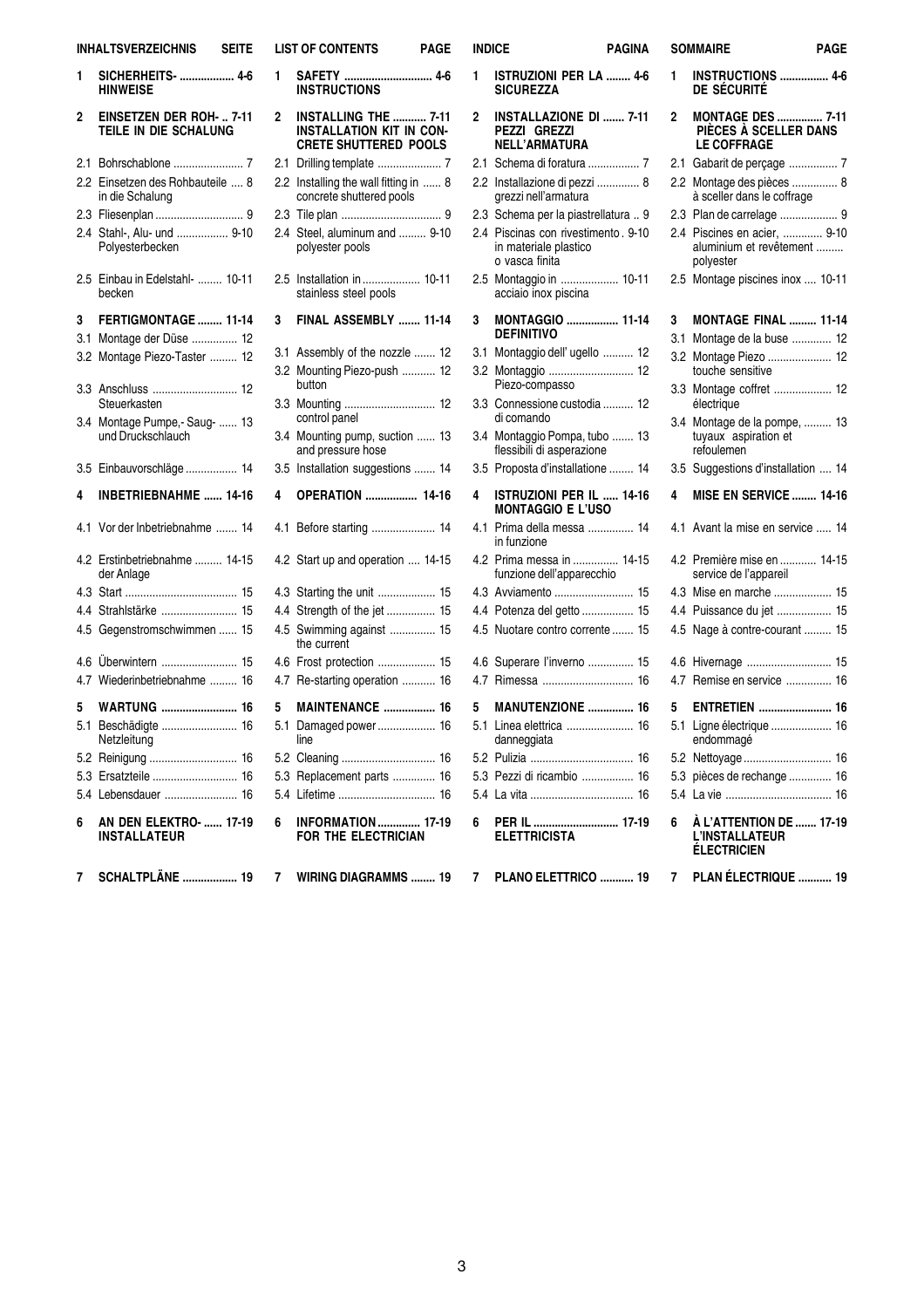| <b>INHALTSVERZEICHNIS</b><br>SEITE |                                                      |  |  |  |
|------------------------------------|------------------------------------------------------|--|--|--|
| 1                                  | SICHERHEITS-  4-6<br><b>HINWEISE</b>                 |  |  |  |
| 2                                  | EINSETZEN DER ROH-  7-11<br>TEILE IN DIE SCHALUNG    |  |  |  |
| 2.1                                |                                                      |  |  |  |
| 2.2                                | Einsetzen des Rohbauteile  8<br>in die Schalung      |  |  |  |
| 2.3                                |                                                      |  |  |  |
| 2.4                                | Stahl-, Alu- und  9-10<br>Polvesterbecken            |  |  |  |
| 2.5                                | Einbau in Edelstahl-  10-11<br>becken                |  |  |  |
| 3                                  | FERTIGMONTAGE  11-14                                 |  |  |  |
| 3.1                                | Montage der Düse  12                                 |  |  |  |
| 3.2                                | Montage Piezo-Taster  12                             |  |  |  |
| 3.3                                | Anschluss  12<br>Steuerkasten                        |  |  |  |
| 3.4                                | Montage Pumpe,- Saug-  13<br>und Druckschlauch       |  |  |  |
|                                    | 3.5 Einbauvorschläge  14                             |  |  |  |
| 4                                  | <b>INBETRIEBNAHME</b> 14-16                          |  |  |  |
| 4.1                                | Vor der Inbetriebnahme  14                           |  |  |  |
| 4.2                                | Erstinbetriebnahme  14-15<br>der Anlage              |  |  |  |
| 4.3                                | 15                                                   |  |  |  |
| 4.4                                | Strahlstärke  15                                     |  |  |  |
| 4.5                                | Gegenstromschwimmen  15                              |  |  |  |
| 4.6                                | Überwintern  15                                      |  |  |  |
| 4.7                                | Wiederinbetriebnahme  16                             |  |  |  |
| 5                                  | <b>WARTUNG  16</b>                                   |  |  |  |
| 5.1                                | Beschädigte  16<br>Netzleitung                       |  |  |  |
|                                    | 5.2 Reinigung  16                                    |  |  |  |
|                                    | 5.3 Ersatzteile  16                                  |  |  |  |
|                                    | 5.4 Lebensdauer  16                                  |  |  |  |
| 6                                  | <b>AN DEN ELEKTRO-  17-19</b><br><b>INSTALLATEUR</b> |  |  |  |
| 7                                  | <b>SCHALTPLÄNE  19</b>                               |  |  |  |

| <b>LIST OF CONTENTS</b><br><b>PAGE</b> |                                                                                  |    |  |  |
|----------------------------------------|----------------------------------------------------------------------------------|----|--|--|
| 1                                      | SAFETY  4-6<br><b>INSTRUCTIONS</b>                                               |    |  |  |
| 2                                      | INSTALLING THE  7-11<br><b>INSTALLATION KIT IN CON-</b><br>CRETE SHUTTERED POOLS |    |  |  |
| 2.1                                    | Drilling template  7                                                             |    |  |  |
| 2.2                                    | Installing the wall fitting in  8<br>concrete shuttered pools                    |    |  |  |
| 2.3                                    |                                                                                  |    |  |  |
| 2.4                                    | Steel, aluminum and  9-10<br>polyester pools                                     |    |  |  |
| 2.5                                    | Installation in  10-11<br>stainless steel pools                                  |    |  |  |
| 3                                      | FINAL ASSEMBLY  11-14                                                            |    |  |  |
| 3.1                                    | Assembly of the nozzle  12                                                       |    |  |  |
| 3.2                                    | Mounting Piezo-push  12<br>button                                                |    |  |  |
| 3.3                                    | Mounting  12<br>control panel                                                    |    |  |  |
| 3.4                                    | Mounting pump, suction  13<br>and pressure hose                                  |    |  |  |
| 3.5                                    | Installation suggestions  14                                                     |    |  |  |
| 4                                      | <b>OPERATION</b> 14-16                                                           |    |  |  |
| 4.1                                    | Before starting  14                                                              |    |  |  |
| 4.2                                    | Start up and operation  14-15                                                    |    |  |  |
| 4.3                                    | Starting the unit                                                                | 15 |  |  |
| 4.4                                    | Strength of the jet                                                              | 15 |  |  |
| 4.5                                    | Swimming against<br>the current                                                  | 15 |  |  |
| 4.6                                    | Frost protection  15                                                             |    |  |  |
| 4.7                                    | Re-starting operation  16                                                        |    |  |  |
| 5                                      | <b>MAINTENANCE  16</b>                                                           |    |  |  |
| 5.1                                    | Damaged power 16<br>line                                                         |    |  |  |
| 5.2                                    |                                                                                  |    |  |  |
|                                        | 5.3 Replacement parts  16                                                        |    |  |  |
|                                        | 5.4 Lifetime  16                                                                 |    |  |  |
| 6                                      | <b>INFORMATION</b> 17-19<br>FOR THE ELECTRICIAN                                  |    |  |  |
| 7                                      | <b>WIRING DIAGRAMMS  19</b>                                                      |    |  |  |

| <b>INDICE</b><br><b>PAGINA</b> |                                                                                |     | <b>SOMMAIRE</b>                                                         | PAGE |
|--------------------------------|--------------------------------------------------------------------------------|-----|-------------------------------------------------------------------------|------|
| 1                              | <b>ISTRUZIONI PER LA  4-6</b><br><b>SICUREZZA</b>                              | 1   | <b>INSTRUCTIONS  4-6</b><br>DE SÉCURITÉ                                 |      |
| 2                              | <b>INSTALLAZIONE DI  7-11</b><br>PEZZI GREZZI<br><b>NELL'ARMATURA</b>          | 2   | <b>MONTAGE DES  7-11</b><br>PIECES A SCELLER DANS<br><b>LE COFFRAGE</b> |      |
|                                | 2.1 Schema di foratura  7                                                      |     | 2.1 Gabarit de perçage  7                                               |      |
|                                | 2.2 Installazione di pezzi  8<br>grezzi nell'armatura                          |     | 2.2 Montage des pièces  8<br>à sceller dans le coffrage                 |      |
|                                | 2.3 Schema per la piastrellatura  9                                            |     | 2.3 Plan de carrelage  9                                                |      |
|                                | 2.4 Piscinas con rivestimento. 9-10<br>in materiale plastico<br>o vasca finita |     | 2.4 Piscines en acier,  9-10<br>aluminium et revêtement<br>polyester    |      |
|                                | 2.5 Montaggio in  10-11<br>acciaio inox piscina                                |     | 2.5 Montage piscines inox  10-11                                        |      |
| 3                              | <b>MONTAGGIO  11-14</b><br><b>DEFINITIVO</b>                                   | 3   | <b>MONTAGE FINAL  11-14</b>                                             |      |
|                                | 3.1 Montaggio dell' ugello  12                                                 | 3.1 | Montage de la buse  12                                                  |      |
|                                | 3.2 Montaggio  12<br>Piezo-compasso                                            |     | 3.2 Montage Piezo  12<br>touche sensitive                               |      |
|                                | 3.3 Connessione custodia  12<br>di comando                                     |     | 3.3 Montage coffret  12<br>électrique                                   |      |
|                                | 3.4 Montaggio Pompa, tubo  13<br>flessibili di asperazione                     |     | 3.4 Montage de la pompe,  13<br>tuyaux aspiration et<br>refoulemen      |      |
|                                | 3.5 Proposta d'installatione  14                                               |     | 3.5 Suggestions d'installation  14                                      |      |
| 4                              | <b>ISTRUZIONI PER IL  14-16</b><br><b>MONTAGGIO E L'USO</b>                    | 4   | <b>MISE EN SERVICE  14-16</b>                                           |      |
|                                | 4.1 Prima della messa  14<br>in funzione                                       |     | 4.1 Avant la mise en service  14                                        |      |
|                                | 4.2 Prima messa in  14-15<br>funzione dell'apparecchio                         |     | 4.2 Première mise en  14-15<br>service de l'appareil                    |      |
|                                | 4.3 Avviamento  15                                                             |     | 4.3 Mise en marche  15                                                  |      |
|                                | 4.4 Potenza del getto  15                                                      |     | 4.4 Puissance du jet  15                                                |      |
|                                | 4.5 Nuotare contro corrente  15                                                |     | 4.5 Nage à contre-courant  15                                           |      |
|                                | 4.6 Superare l'inverno  15                                                     |     | 4.6 Hivernage  15                                                       |      |
|                                | 4.7 Rimessa  16                                                                |     | 4.7 Remise en service  16                                               |      |
| 5                              | <b>MANUTENZIONE  16</b>                                                        | 5   | <b>ENTRETIEN</b> 16                                                     |      |
|                                | 5.1 Linea elettrica  16<br>danneggiata                                         |     | 5.1 Ligne électrique  16<br>endommagé                                   |      |
|                                |                                                                                |     |                                                                         |      |
|                                | 5.3 Pezzi di ricambio  16                                                      |     | 5.3 pièces de rechange  16                                              |      |
|                                |                                                                                |     |                                                                         |      |
| 6                              | PER IL  17-19<br><b>ELETTRICISTA</b>                                           | 6   | À L'ATTENTION DE  17-19<br><b>L'INSTALLATEUR</b><br><b>ÉLECTRICIEN</b>  |      |
| 7                              | PLANO ELETTRICO  19                                                            | 7   | PLAN ÉLECTRIQUE  19                                                     |      |

**PAGE**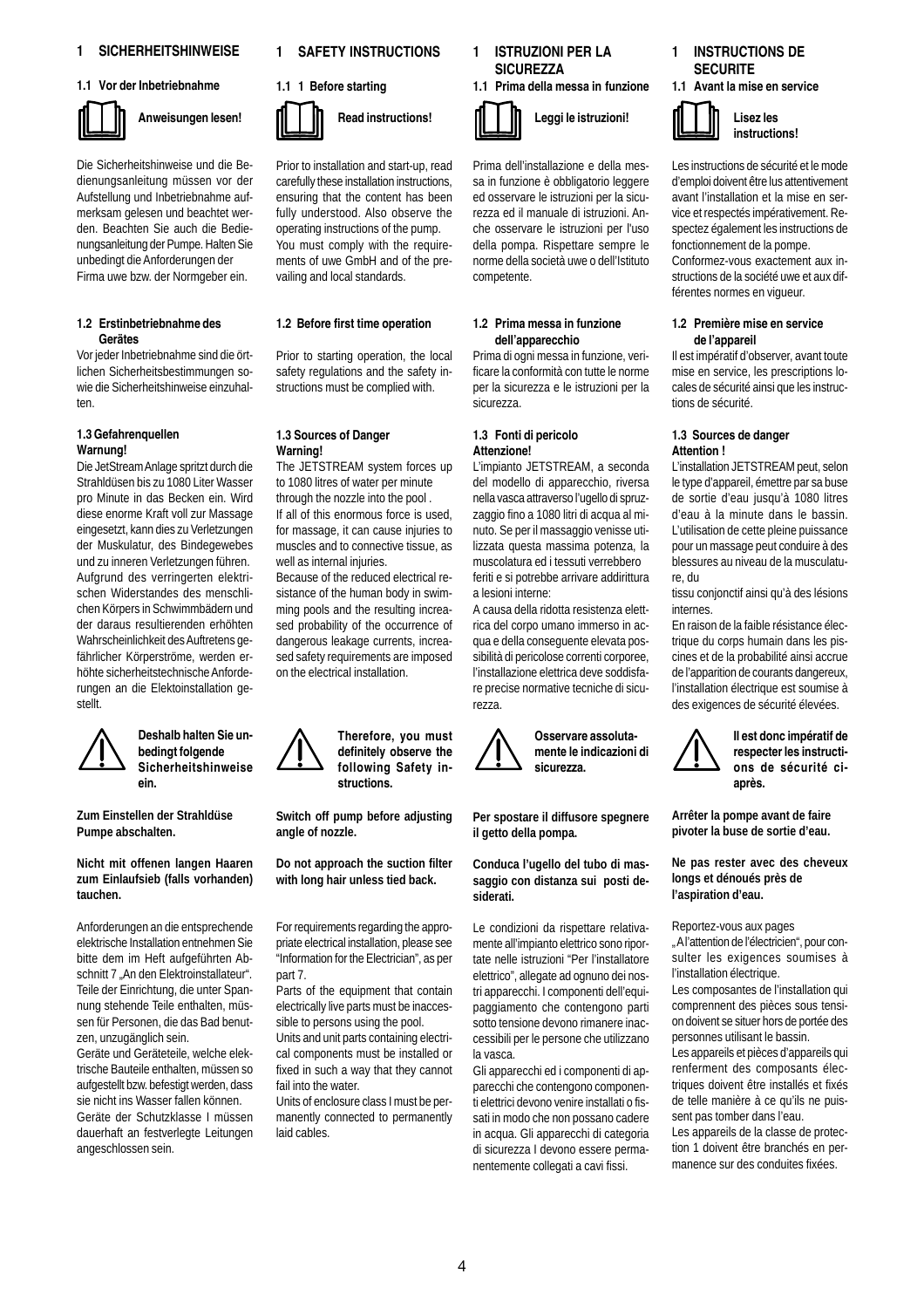# **1 SICHERHEITSHINWEISE**

#### **1.1 Vor der Inbetriebnahme**



**Anweisungen lesen!**

Die Sicherheitshinweise und die Bedienungsanleitung müssen vor der Aufstellung und Inbetriebnahme aufmerksam gelesen und beachtet werden. Beachten Sie auch die Bedienungsanleitung der Pumpe. Halten Sie unbedingt die Anforderungen der Firma uwe bzw. der Normgeber ein.

#### **1.2 Erstinbetriebnahme des Gerätes**

Vor jeder Inbetriebnahme sind die örtlichen Sicherheitsbestimmungen sowie die Sicherheitshinweise einzuhalten.

# **1.3 Gefahrenquellen Warnung!**

Die JetStream Anlage spritzt durch die Strahldüsen bis zu 1080 Liter Wasser pro Minute in das Becken ein. Wird diese enorme Kraft voll zur Massage eingesetzt, kann dies zu Verletzungen der Muskulatur, des Bindegewebes und zu inneren Verletzungen führen. Aufgrund des verringerten elektrischen Widerstandes des menschlichen Körpers in Schwimmbädern und der daraus resultierenden erhöhten Wahrscheinlichkeit des Auftretens gefährlicher Körperströme, werden erhöhte sicherheitstechnische Anforderungen an die Elektoinstallation gestellt.



#### **Deshalb halten Sie unbedingt folgende Sicherheitshinweise ein.**

**Zum Einstellen der Strahldüse Pumpe abschalten.**

**Nicht mit offenen langen Haaren zum Einlaufsieb (falls vorhanden) tauchen.**

Anforderungen an die entsprechende elektrische Installation entnehmen Sie bitte dem im Heft aufgeführten Abschnitt 7 "An den Elektroinstallateur". Teile der Einrichtung, die unter Spannung stehende Teile enthalten, müssen für Personen, die das Bad benutzen, unzugänglich sein.

Geräte und Geräteteile, welche elektrische Bauteile enthalten, müssen so aufgestellt bzw. befestigt werden, dass sie nicht ins Wasser fallen können. Geräte der Schutzklasse I müssen dauerhaft an festverlegte Leitungen angeschlossen sein.

#### **1 SAFETY INSTRUCTIONS**

# **1.1 1 Before starting**



Prior to installation and start-up, read carefully these installation instructions, ensuring that the content has been fully understood. Also observe the operating instructions of the pump. You must comply with the requirements of uwe GmbH and of the prevailing and local standards.

# **1.2 Before first time operation**

Prior to starting operation, the local safety regulations and the safety instructions must be complied with.

## **1.3 Sources of Danger Warning!**

The JETSTREAM system forces up to 1080 litres of water per minute through the nozzle into the pool . If all of this enormous force is used, for massage, it can cause injuries to muscles and to connective tissue, as well as internal injuries.

Because of the reduced electrical resistance of the human body in swimming pools and the resulting increased probability of the occurrence of dangerous leakage currents, increased safety requirements are imposed on the electrical installation.

> **Therefore, you must definitely observe the following Safety instructions.**

**Switch off pump before adjusting angle of nozzle.**

**Do not approach the suction filter with long hair unless tied back.**

For requirements regarding the appropriate electrical installation, please see "Information for the Electrician", as per part 7.

Parts of the equipment that contain electrically live parts must be inaccessible to persons using the pool.

Units and unit parts containing electrical components must be installed or fixed in such a way that they cannot fail into the water.

Units of enclosure class I must be permanently connected to permanently laid cables.



Prima dell'installazione e della messa in funzione è obbligatorio leggere ed osservare le istruzioni per la sicurezza ed il manuale di istruzioni. Anche osservare le istruzioni per l'uso della pompa. Rispettare sempre le norme della società uwe o dell'Istituto competente.

#### **1.2 Prima messa in funzione dell'apparecchio**

Prima di ogni messa in funzione, verificare la conformità con tutte le norme per la sicurezza e le istruzioni per la sicurezza.

# **1.3 Fonti di pericolo Attenzione!**

L'impianto JETSTREAM, a seconda del modello di apparecchio, riversa nella vasca attraverso l'ugello di spruzzaggio fino a 1080 litri di acqua al minuto. Se per il massaggio venisse utilizzata questa massima potenza, la muscolatura ed i tessuti verrebbero feriti e si potrebbe arrivare addirittura a lesioni interne:

A causa della ridotta resistenza elettrica del corpo umano immerso in acqua e della conseguente elevata possibilità di pericolose correnti corporee, l'installazione elettrica deve soddisfare precise normative tecniche di sicurezza.



**Per spostare il diffusore spegnere il getto della pompa.**

**Conduca l'ugello del tubo di massaggio con distanza sui posti desiderati.**

Le condizioni da rispettare relativamente all'impianto elettrico sono riportate nelle istruzioni "Per l'installatore elettrico", allegate ad ognuno dei nostri apparecchi. I componenti dell'equipaggiamento che contengono parti sotto tensione devono rimanere inaccessibili per le persone che utilizzano la vasca.

Gli apparecchi ed i componenti di apparecchi che contengono componenti elettrici devono venire installati o fissati in modo che non possano cadere in acqua. Gli apparecchi di categoria di sicurezza I devono essere permanentemente collegati a cavi fissi.



Les instructions de sécurité et le mode d'emploi doivent être lus attentivement avant l'installation et la mise en service et respectés impérativement. Respectez également les instructions de fonctionnement de la pompe. Conformez-vous exactement aux instructions de la société uwe et aux différentes normes en vigueur.

#### **1.2 Première mise en service de l'appareil**

Il est impératif d'observer, avant toute mise en service, les prescriptions locales de sécurité ainsi que les instructions de sécurité.

#### **1.3 Sources de danger Attention !**

L'installation JETSTREAM peut, selon le type d'appareil, émettre par sa buse de sortie d'eau jusqu'à 1080 litres d'eau à la minute dans le bassin. L'utilisation de cette pleine puissance pour un massage peut conduire à des blessures au niveau de la musculature, du

tissu conjonctif ainsi qu'à des lésions internes.

En raison de la faible résistance électrique du corps humain dans les piscines et de la probabilité ainsi accrue de l'apparition de courants dangereux, l'installation électrique est soumise à des exigences de sécurité élevées.



**Il est donc impératif de respecter les instructions de sécurité ciaprès.**

**Arrêter la pompe avant de faire pivoter la buse de sortie d'eau.**

**Ne pas rester avec des cheveux longs et dénoués près de l'aspiration d'eau.**

Reportez-vous aux pages

" A l'attention de l'électricien", pour consulter les exigences soumises à l'installation électrique.

Les composantes de l'installation qui comprennent des pièces sous tension doivent se situer hors de portée des personnes utilisant le bassin.

Les appareils et pièces d'appareils qui renferment des composants électriques doivent être installés et fixés de telle manière à ce qu'ils ne puissent pas tomber dans l'eau.

Les appareils de la classe de protection 1 doivent être branchés en permanence sur des conduites fixées.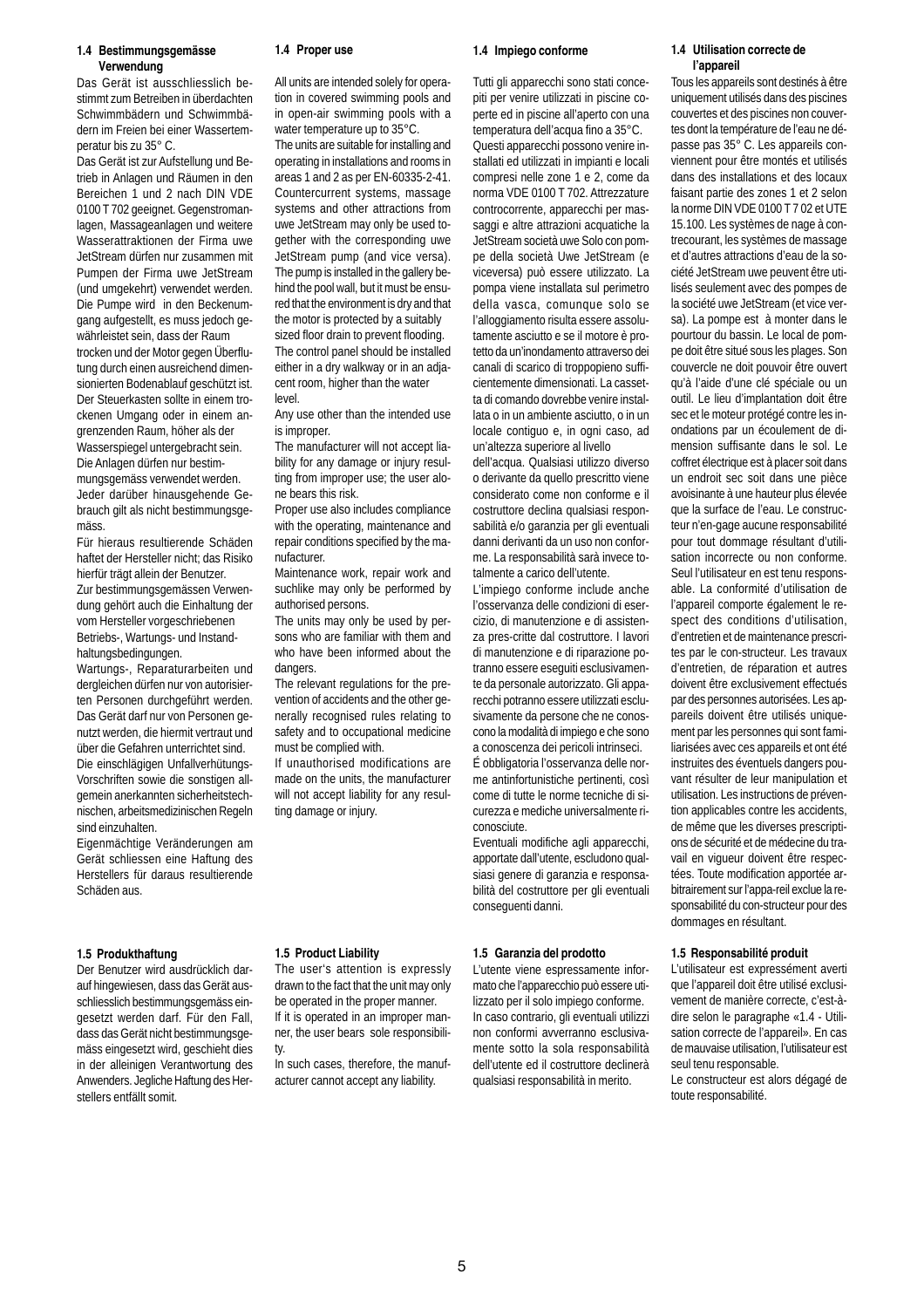#### **1.4 Bestimmungsgemässe Verwendung**

Das Gerät ist ausschliesslich bestimmt zum Betreiben in überdachten Schwimmbädern und Schwimmbädern im Freien bei einer Wassertemperatur bis zu 35° C.

Das Gerät ist zur Aufstellung und Betrieb in Anlagen und Räumen in den Bereichen 1 und 2 nach DIN VDE 0100 T 702 geeignet. Gegenstromanlagen, Massageanlagen und weitere Wasserattraktionen der Firma uwe JetStream dürfen nur zusammen mit Pumpen der Firma uwe JetStream (und umgekehrt) verwendet werden. Die Pumpe wird in den Beckenumgang aufgestellt, es muss jedoch gewährleistet sein, dass der Raum trocken und der Motor gegen Überflutung durch einen ausreichend dimensionierten Bodenablauf geschützt ist. Der Steuerkasten sollte in einem trockenen Umgang oder in einem angrenzenden Raum, höher als der Wasserspiegel untergebracht sein. Die Anlagen dürfen nur bestimmungsgemäss verwendet werden. Jeder darüber hinausgehende Gebrauch gilt als nicht bestimmungsgemäss.

Für hieraus resultierende Schäden haftet der Hersteller nicht; das Risiko hierfür trägt allein der Benutzer. Zur bestimmungsgemässen Verwendung gehört auch die Einhaltung der vom Hersteller vorgeschriebenen Betriebs-, Wartungs- und Instandhaltungsbedingungen.

Wartungs-, Reparaturarbeiten und dergleichen dürfen nur von autorisierten Personen durchgeführt werden. Das Gerät darf nur von Personen genutzt werden, die hiermit vertraut und über die Gefahren unterrichtet sind. Die einschlägigen Unfallverhütungs-Vorschriften sowie die sonstigen allgemein anerkannten sicherheitstechnischen, arbeitsmedizinischen Regeln sind einzuhalten.

Eigenmächtige Veränderungen am Gerät schliessen eine Haftung des Herstellers für daraus resultierende Schäden aus.

#### **1.5 Produkthaftung**

Der Benutzer wird ausdrücklich darauf hingewiesen, dass das Gerät ausschliesslich bestimmungsgemäss eingesetzt werden darf. Für den Fall, dass das Gerät nicht bestimmungsgemäss eingesetzt wird, geschieht dies in der alleinigen Verantwortung des Anwenders. Jegliche Haftung des Herstellers entfällt somit.

#### **1.4 Proper use**

All units are intended solely for operation in covered swimming pools and in open-air swimming pools with a water temperature up to 35°C.

The units are suitable for installing and operating in installations and rooms in areas 1 and 2 as per EN-60335-2-41. Countercurrent systems, massage systems and other attractions from uwe JetStream may only be used together with the corresponding uwe JetStream pump (and vice versa). The pump is installed in the gallery behind the pool wall, but it must be ensured that the environment is dry and that the motor is protected by a suitably

sized floor drain to prevent flooding. The control panel should be installed either in a dry walkway or in an adjacent room, higher than the water level.

Any use other than the intended use is improper.

The manufacturer will not accept liability for any damage or injury resulting from improper use; the user alone bears this risk.

Proper use also includes compliance with the operating, maintenance and repair conditions specified by the manufacturer.

Maintenance work, repair work and suchlike may only be performed by authorised persons.

The units may only be used by persons who are familiar with them and who have been informed about the dangers.

The relevant regulations for the prevention of accidents and the other generally recognised rules relating to safety and to occupational medicine must be complied with.

If unauthorised modifications are made on the units, the manufacturer will not accept liability for any resulting damage or injury.

#### **1.5 Product Liability**

The user's attention is expressly drawn to the fact that the unit may only be operated in the proper manner.

If it is operated in an improper manner, the user bears sole responsibility.

In such cases, therefore, the manufacturer cannot accept any liability.

#### **1.4 Impiego conforme**

Tutti gli apparecchi sono stati concepiti per venire utilizzati in piscine coperte ed in piscine all'aperto con una temperatura dell'acqua fino a 35°C. Questi apparecchi possono venire installati ed utilizzati in impianti e locali compresi nelle zone 1 e 2, come da norma VDE 0100 T 702. Attrezzature controcorrente, apparecchi per massaggi e altre attrazioni acquatiche la JetStream società uwe Solo con pompe della società Uwe JetStream (e viceversa) può essere utilizzato. La pompa viene installata sul perimetro della vasca, comunque solo se l'alloggiamento risulta essere assolutamente asciutto e se il motore è protetto da un'inondamento attraverso dei canali di scarico di troppopieno sufficientemente dimensionati. La cassetta di comando dovrebbe venire installata o in un ambiente asciutto, o in un locale contiguo e, in ogni caso, ad un'altezza superiore al livello

dell'acqua. Qualsiasi utilizzo diverso o derivante da quello prescritto viene considerato come non conforme e il costruttore declina qualsiasi responsabilità e/o garanzia per gli eventuali danni derivanti da un uso non conforme. La responsabilità sarà invece totalmente a carico dell'utente.

L'impiego conforme include anche l'osservanza delle condizioni di esercizio, di manutenzione e di assistenza pres-critte dal costruttore. I lavori di manutenzione e di riparazione potranno essere eseguiti esclusivamente da personale autorizzato. Gli apparecchi potranno essere utilizzati esclusivamente da persone che ne conoscono la modalità di impiego e che sono a conoscenza dei pericoli intrinseci.

É obbligatoria l'osservanza delle norme antinfortunistiche pertinenti, così come di tutte le norme tecniche di sicurezza e mediche universalmente riconosciute.

Eventuali modifiche agli apparecchi, apportate dall'utente, escludono qualsiasi genere di garanzia e responsabilità del costruttore per gli eventuali conseguenti danni.

#### **1.5 Garanzia del prodotto**

L'utente viene espressamente informato che l'apparecchio può essere utilizzato per il solo impiego conforme. In caso contrario, gli eventuali utilizzi non conformi avverranno esclusivamente sotto la sola responsabilità dell'utente ed il costruttore declinerà qualsiasi responsabilità in merito.

### **1.4 Utilisation correcte de l'appareil**

Tous les appareils sont destinés à être uniquement utilisés dans des piscines couvertes et des piscines non couvertes dont la température de l'eau ne dépasse pas 35° C. Les appareils conviennent pour être montés et utilisés dans des installations et des locaux faisant partie des zones 1 et 2 selon la norme DIN VDE 0100 T 7 02 et UTE 15.100. Les systèmes de nage à contrecourant, les systèmes de massage et d'autres attractions d'eau de la société JetStream uwe peuvent être utilisés seulement avec des pompes de la société uwe JetStream (et vice versa). La pompe est à monter dans le pourtour du bassin. Le local de pompe doit être situé sous les plages. Son couvercle ne doit pouvoir être ouvert qu'à l'aide d'une clé spéciale ou un outil. Le lieu d'implantation doit être sec et le moteur protégé contre les inondations par un écoulement de dimension suffisante dans le sol. Le coffret électrique est à placer soit dans un endroit sec soit dans une pièce avoisinante à une hauteur plus élevée que la surface de l'eau. Le constructeur n'en-gage aucune responsabilité pour tout dommage résultant d'utilisation incorrecte ou non conforme. Seul l'utilisateur en est tenu responsable. La conformité d'utilisation de l'appareil comporte également le respect des conditions d'utilisation, d'entretien et de maintenance prescrites par le con-structeur. Les travaux d'entretien, de réparation et autres doivent être exclusivement effectués par des personnes autorisées. Les appareils doivent être utilisés uniquement par les personnes qui sont familiarisées avec ces appareils et ont été instruites des éventuels dangers pouvant résulter de leur manipulation et utilisation. Les instructions de prévention applicables contre les accidents, de même que les diverses prescriptions de sécurité et de médecine du travail en vigueur doivent être respectées. Toute modification apportée arbitrairement sur l'appa-reil exclue la responsabilité du con-structeur pour des dommages en résultant.

#### **1.5 Responsabilité produit**

L'utilisateur est expressément averti que l'appareil doit être utilisé exclusivement de manière correcte, c'est-àdire selon le paragraphe «1.4 - Utilisation correcte de l'appareil». En cas de mauvaise utilisation, l'utilisateur est seul tenu responsable.

Le constructeur est alors dégagé de toute responsabilité.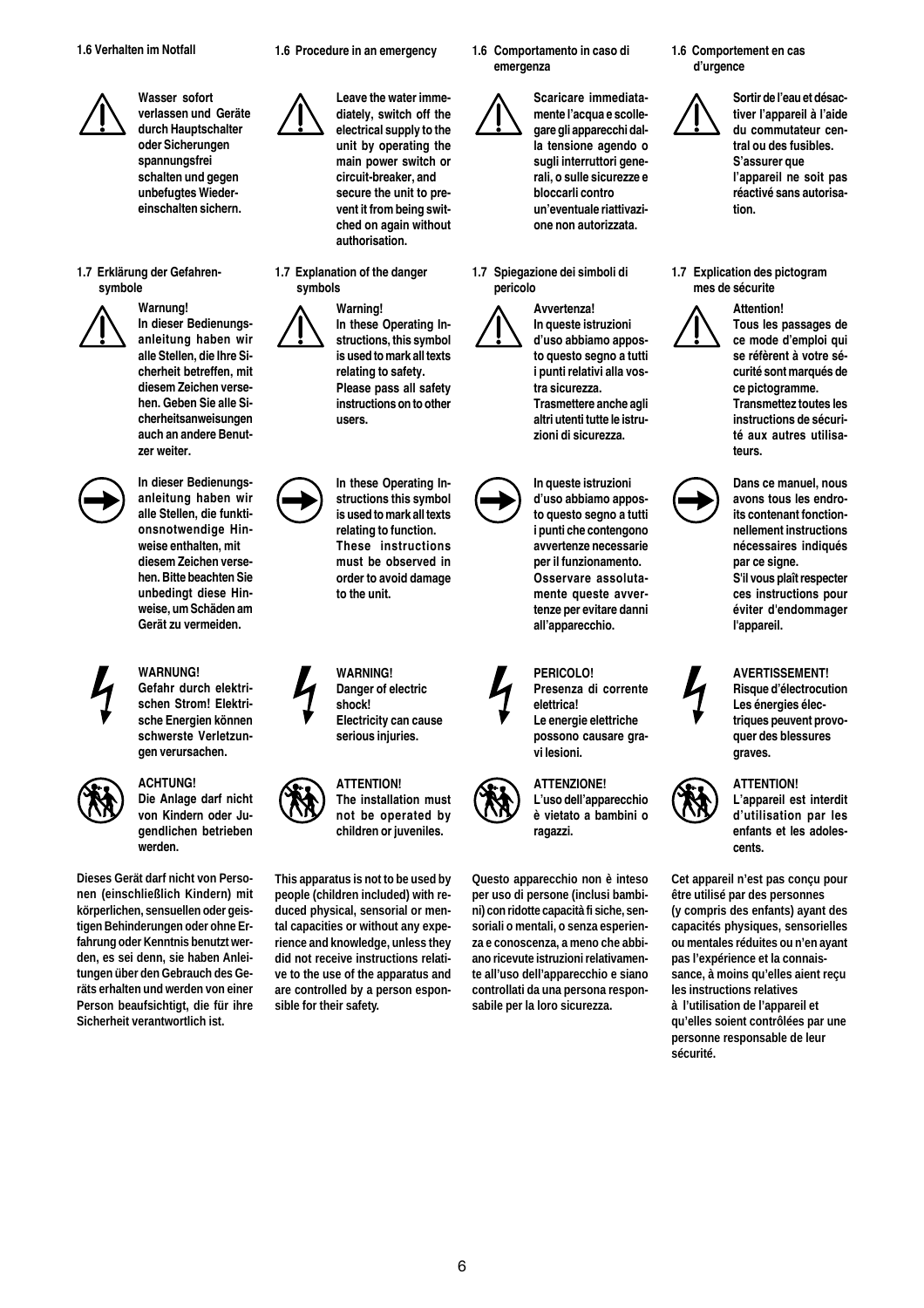

**1.7 Erklärung der Gefahrensymbole**



**Warnung! In dieser Bedienungsanleitung haben wir alle Stellen, die Ihre Sicherheit betreffen, mit diesem Zeichen versehen. Geben Sie alle Sicherheitsanweisungen auch an andere Benutzer weiter.**



**In dieser Bedienungsanleitung haben wir alle Stellen, die funktionsnotwendige Hinweise enthalten, mit diesem Zeichen versehen. Bitte beachten Sie unbedingt diese Hinweise, um Schäden am Gerät zu vermeiden.**



# **WARNUNG!**

**Gefahr durch elektrischen Strom! Elektrische Energien können schwerste Verletzungen verursachen.**



# **ACHTUNG!**

**Die Anlage darf nicht von Kindern oder Jugendlichen betrieben werden.**

**Dieses Gerät darf nicht von Personen (einschließlich Kindern) mit körperlichen, sensuellen oder geistigen Behinderungen oder ohne Erfahrung oder Kenntnis benutzt werden, es sei denn, sie haben Anleitungen über den Gebrauch des Geräts erhalten und werden von einer Person beaufsichtigt, die für ihre Sicherheit verantwortlich ist.**

**1.6 Procedure in an emergency**

**Leave the water immediately, switch off the electrical supply to the unit by operating the main power switch or circuit-breaker, and secure the unit to prevent it from being switched on again without authorisation.**

**1.7 Explanation of the danger symbols**

> **Warning! In these Operating Instructions, this symbol is used to mark all texts relating to safety. Please pass all safety instructions on to other users.**

**In these Operating Instructions this symbol is used to mark all texts relating to function. These instructions must be observed in order to avoid damage to the unit.**

**WARNING! Danger of electric shock! Electricity can cause serious injuries.**



**The installation must not be operated by children or juveniles.**

**This apparatus is not to be used by people (children included) with reduced physical, sensorial or mental capacities or without any experience and knowledge, unless they did not receive instructions relative to the use of the apparatus and are controlled by a person esponsible for their safety.**

**1.6 Comportamento in caso di emergenza**



**Scaricare immediatamente l'acqua e scollegare gli apparecchi dalla tensione agendo o sugli interruttori generali, o sulle sicurezze e bloccarli contro un'eventuale riattivazione non autorizzata.**

**1.7 Spiegazione dei simboli di pericolo**

> **Avvertenza! In queste istruzioni**

**d'uso abbiamo apposto questo segno a tutti i punti relativi alla vostra sicurezza. Trasmettere anche agli altri utenti tutte le istruzioni di sicurezza.**

**In queste istruzioni d'uso abbiamo apposto questo segno a tutti i punti che contengono avvertenze necessarie per il funzionamento. Osservare assolutamente queste avvertenze per evitare danni all'apparecchio.**

**PERICOLO! Presenza di corrente elettrica! Le energie elettriche possono causare gravi lesioni.**



**ATTENZIONE! L'uso dell'apparecchio è vietato a bambini o ragazzi.**

**Questo apparecchio non è inteso per uso di persone (inclusi bambini) con ridotte capacità fi siche, sensoriali o mentali, o senza esperienza e conoscenza, a meno che abbiano ricevute istruzioni relativamente all'uso dell'apparecchio e siano controllati da una persona responsabile per la loro sicurezza.**

**1.6 Comportement en cas d'urgence**

**Sortir de l'eau et désactiver l'appareil à l'aide du commutateur central ou des fusibles. S'assurer que l'appareil ne soit pas réactivé sans autorisation.**

**1.7 Explication des pictogram mes de sécurite**



**Attention!**

**Tous les passages de ce mode d'emploi qui se réfèrent à votre sécurité sont marqués de ce pictogramme. Transmettez toutes les instructions de sécurité aux autres utilisateurs.**









**AVERTISSEMENT! Risque d'électrocution Les énergies élec-**

**l'appareil.**

**L'appareil est interdit d'utilisation par les enfants et les adolescents.**

**Cet appareil n'est pas conçu pour être utilisé par des personnes (y compris des enfants) ayant des capacités physiques, sensorielles ou mentales réduites ou n'en ayant pas l'expérience et la connaissance, à moins qu'elles aient reçu les instructions relatives à l'utilisation de l'appareil et qu'elles soient contrôlées par une personne responsable de leur sécurité.**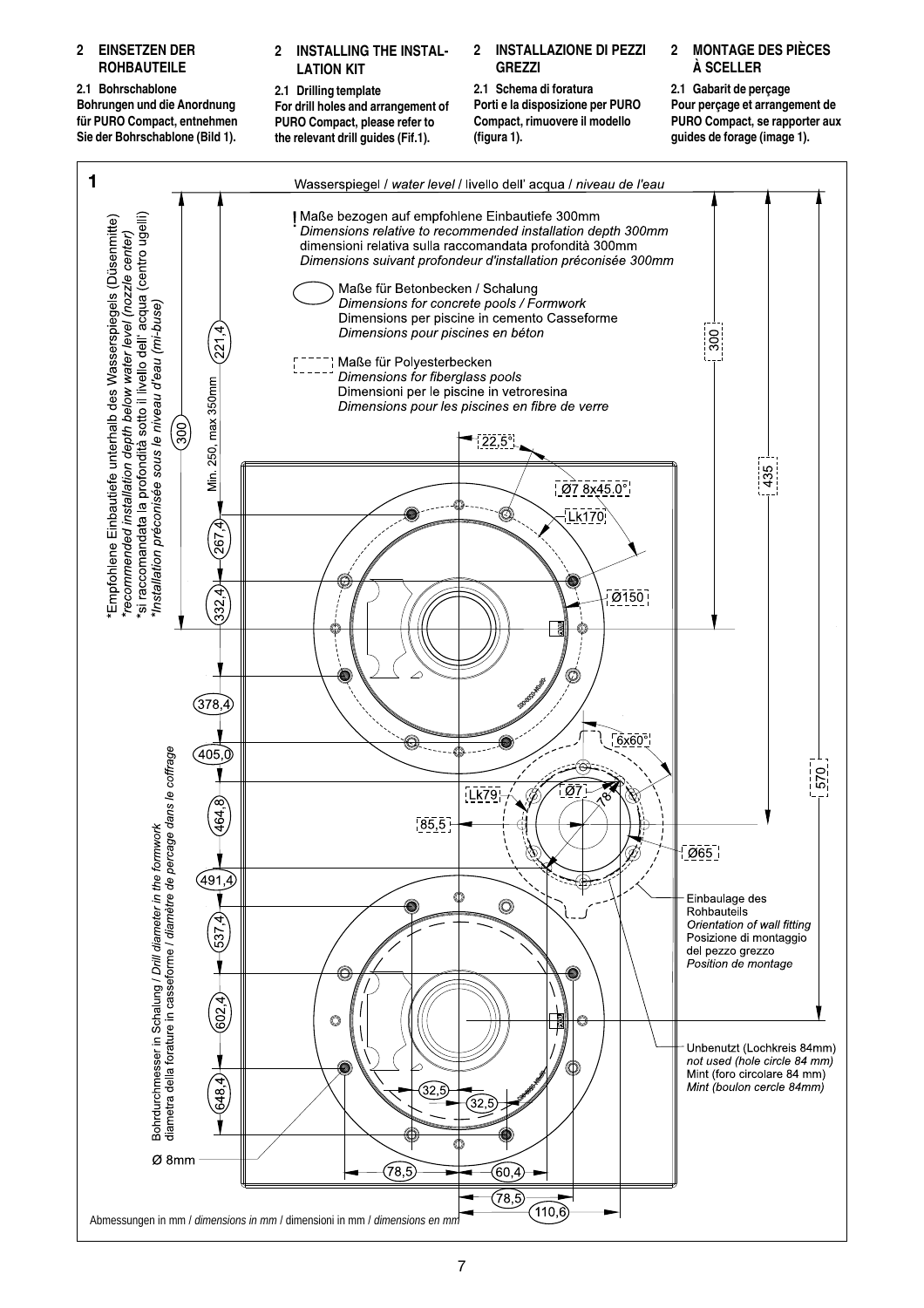# **2 EINSETZEN DER ROHBAUTEILE**

**2.1 Bohrschablone Bohrungen und die Anordnung für PURO Compact, entnehmen Sie der Bohrschablone (Bild 1).**

# **2 INSTALLING THE INSTAL-LATION KIT**

**2.1 Drilling template For drill holes and arrangement of PURO Compact, please refer to the relevant drill guides (Fif.1).**

# **2 INSTALLAZIONE DI PEZZI GREZZI**

**2.1 Schema di foratura Porti e la disposizione per PURO Compact, rimuovere il modello (figura 1).**

# **2 MONTAGE DES PIÈCES À SCELLER**

**2.1 Gabarit de perçage Pour perçage et arrangement de PURO Compact, se rapporter aux guides de forage (image 1).**

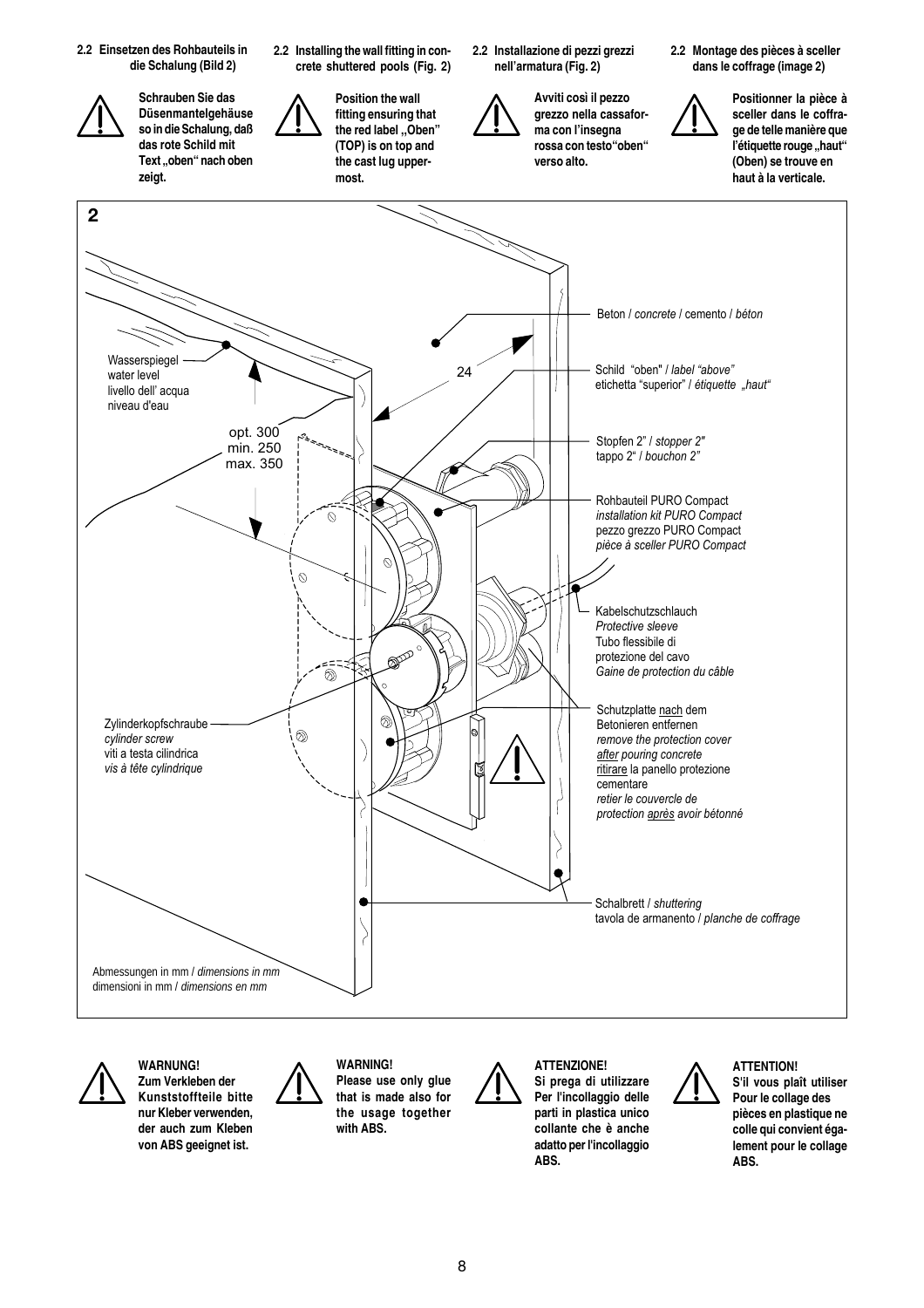



**WARNUNG! Zum Verkleben der Kunststoffteile bitte nur Kleber verwenden, der auch zum Kleben von ABS geeignet ist.**



**WARNING! Please use only glue that is made also for the usage together with ABS.**

**ATTENZIONE! Si prega di utilizzare Per l'incollaggio delle parti in plastica unico collante che è anche adatto per l'incollaggio ABS.**



**ATTENTION! S'il vous plaît utiliser Pour le collage des pièces en plastique ne colle qui convient également pour le collage ABS.**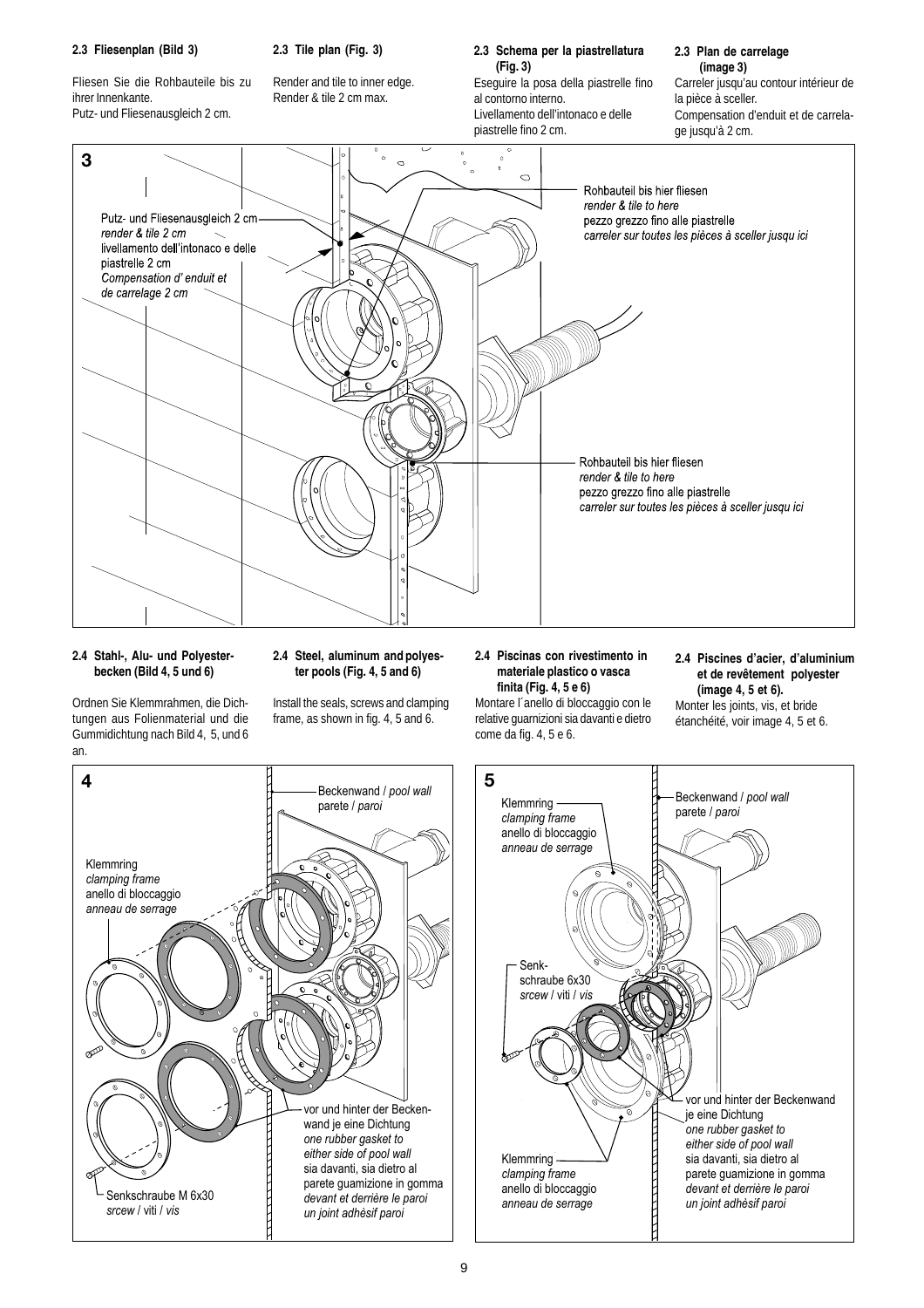# **2.3 Fliesenplan (Bild 3)**

**2.3 Tile plan (Fig. 3)**

Fliesen Sie die Rohbauteile bis zu ihrer Innenkante. Putz- und Fliesenausgleich 2 cm.

Render and tile to inner edge. Render & tile 2 cm max.

# **2.3 Schema per la piastrellatura (Fig. 3)**

Eseguire la posa della piastrelle fino al contorno interno. Livellamento dell'intonaco e delle piastrelle fino 2 cm.

# **2.3 Plan de carrelage (image 3)** Carreler jusqu'au contour intérieur de

la pièce à sceller. Compensation d'enduit et de carrelage jusqu'à 2 cm.



# **2.4 Stahl-, Alu- und Polyesterbecken (Bild 4, 5 und 6)**

**2.4 Steel, aluminum and polyester pools (Fig. 4, 5 and 6)**

Ordnen Sie Klemmrahmen, die Dichtungen aus Folienmaterial und die Gummidichtung nach Bild 4, 5, und 6 an.

Install the seals, screws and clamping frame, as shown in fig. 4, 5 and 6.

# **2.4 Piscinas con rivestimento in materiale plastico o vasca finita (Fig. 4, 5 e 6)**

**2.4 Piscines d'acier, d'aluminium et de revêtement polyester (image 4, 5 et 6).**

Montare l´anello di bloccaggio con le relative guarnizioni sia davanti e dietro come da fig. 4, 5 e 6.

Monter les joints, vis, et bride étanchéité, voir image 4, 5 et 6.

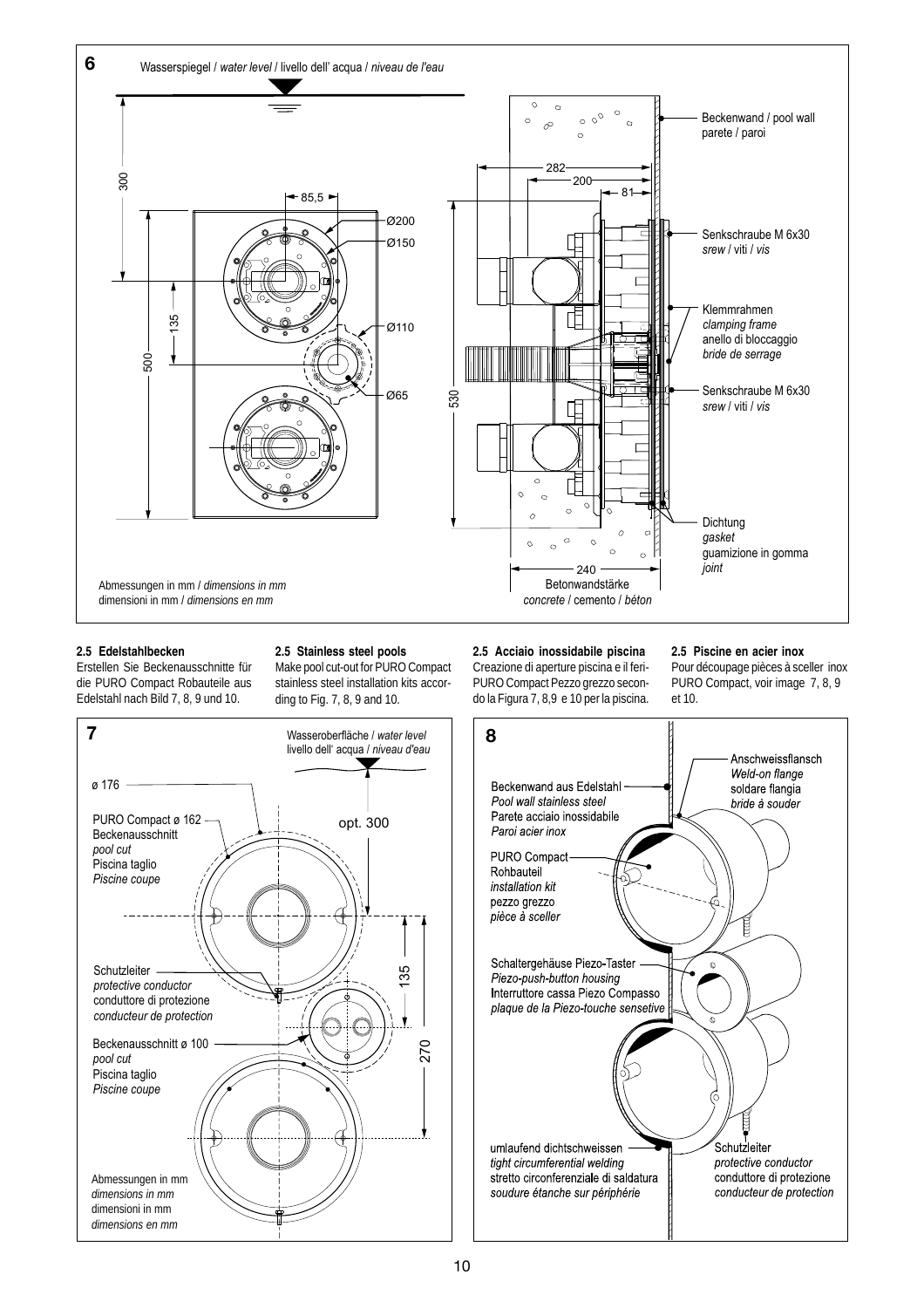

# **2.5 Edelstahlbecken**

Erstellen Sie Beckenausschnitte für die PURO Compact Robauteile aus Edelstahl nach Bild 7, 8, 9 und 10.

**2.5 Stainless steel pools** Make pool cut-out for PURO Compact stainless steel installation kits according to Fig. 7, 8, 9 and 10.

**2.5 Acciaio inossidabile piscina** Creazione di aperture piscina e il feri-PURO Compact Pezzo grezzo secon-

do la Figura 7, 8,9 e 10 per la piscina.

#### **2.5 Piscine en acier inox**

Pour découpage pièces à sceller inox PURO Compact, voir image 7, 8, 9 et 10.



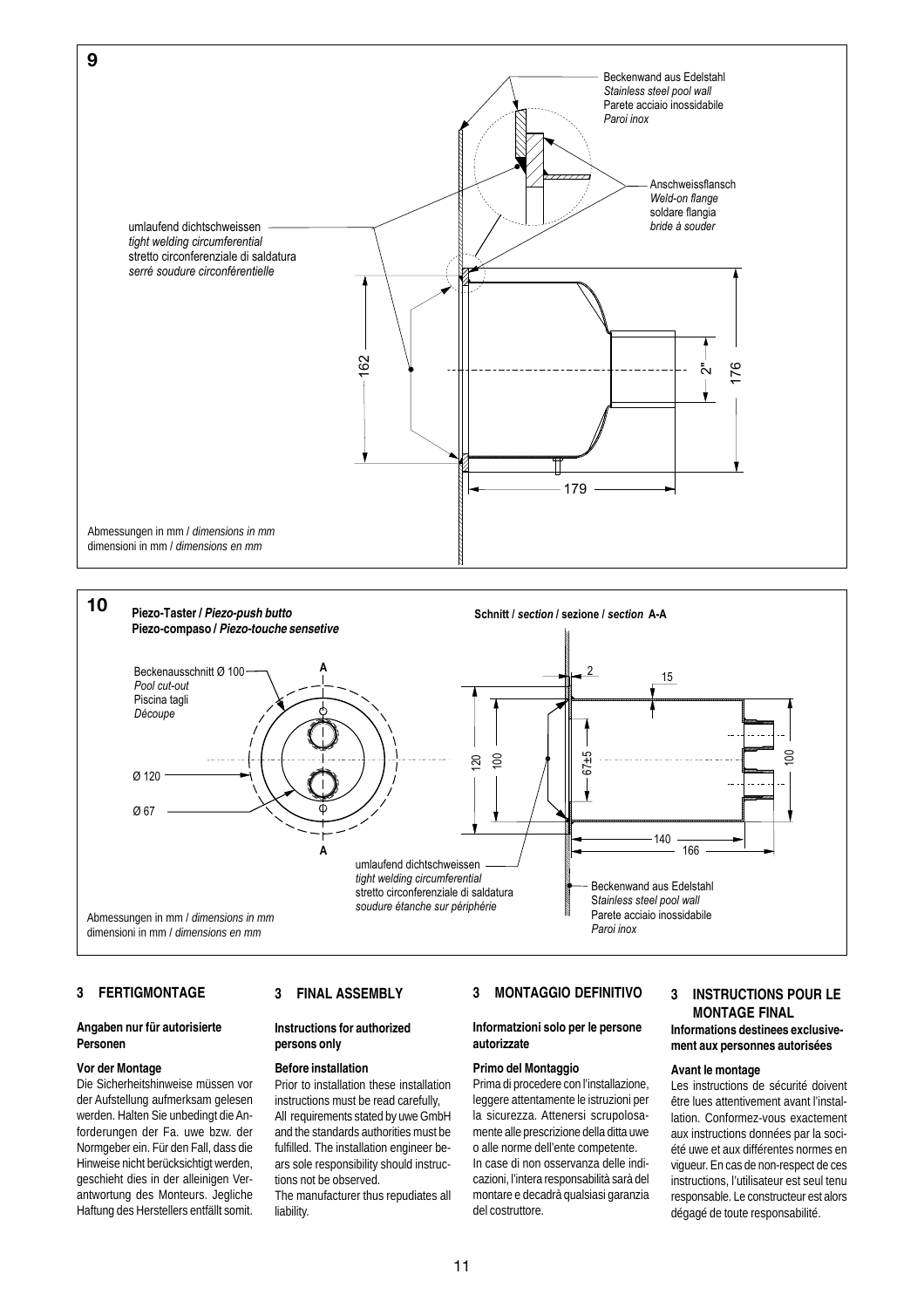



# **3 FERTIGMONTAGE**

# **Angaben nur für autorisierte Personen**

#### **Vor der Montage**

Die Sicherheitshinweise müssen vor der Aufstellung aufmerksam gelesen werden. Halten Sie unbedingt die Anforderungen der Fa. uwe bzw. der Normgeber ein. Für den Fall, dass die Hinweise nicht berücksichtigt werden, geschieht dies in der alleinigen Verantwortung des Monteurs. Jegliche Haftung des Herstellers entfällt somit.

# **3 FINAL ASSEMBLY**

#### **Instructions for authorized persons only**

#### **Before installation**

Prior to installation these installation instructions must be read carefully, All requirements stated by uwe GmbH and the standards authorities must be fulfilled. The installation engineer bears sole responsibility should instructions not be observed. The manufacturer thus repudiates all

liability.

# **3 MONTAGGIO DEFINITIVO**

#### **Informatzioni solo per le persone autorizzate**

# **Primo del Montaggio**

Prima di procedere con l'installazione, leggere attentamente le istruzioni per la sicurezza. Attenersi scrupolosamente alle prescrizione della ditta uwe o alle norme dell'ente competente. In case di non osservanza delle indicazioni, l'intera responsabilità sarà del montare e decadrà qualsiasi garanzia del costruttore.

# **3 INSTRUCTIONS POUR LE MONTAGE FINAL Informations destinees exclusivement aux personnes autorisées**

#### **Avant le montage**

Les instructions de sécurité doivent être lues attentivement avant l'installation. Conformez-vous exactement aux instructions données par la société uwe et aux différentes normes en vigueur. En cas de non-respect de ces instructions, l'utilisateur est seul tenu responsable. Le constructeur est alors dégagé de toute responsabilité.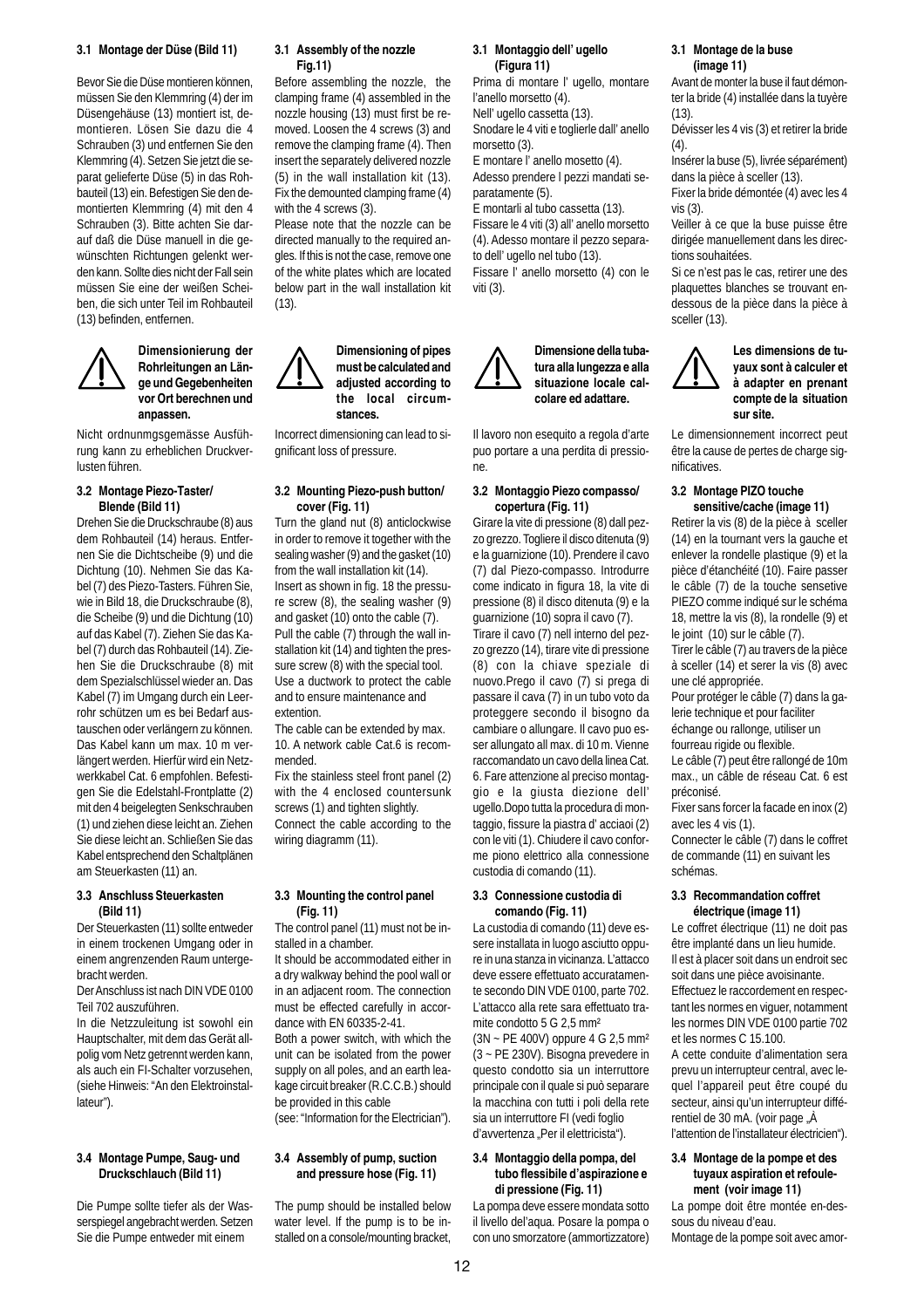#### **3.1 Montage der Düse (Bild 11)**

Bevor Sie die Düse montieren können, müssen Sie den Klemmring (4) der im Düsengehäuse (13) montiert ist, demontieren. Lösen Sie dazu die 4 Schrauben (3) und entfernen Sie den Klemmring (4). Setzen Sie jetzt die separat gelieferte Düse (5) in das Rohbauteil (13) ein. Befestigen Sie den demontierten Klemmring (4) mit den 4 Schrauben (3). Bitte achten Sie darauf daß die Düse manuell in die gewünschten Richtungen gelenkt werden kann. Sollte dies nicht der Fall sein müssen Sie eine der weißen Scheiben, die sich unter Teil im Rohbauteil (13) befinden, entfernen.



#### **Dimensionierung der Rohrleitungen an Länge und Gegebenheiten vor Ort berechnen und anpassen.**

Nicht ordnunmgsgemässe Ausführung kann zu erheblichen Druckverlusten führen.

#### **3.2 Montage Piezo-Taster/ Blende (Bild 11)**

Drehen Sie die Druckschraube (8) aus dem Rohbauteil (14) heraus. Entfernen Sie die Dichtscheibe (9) und die Dichtung (10). Nehmen Sie das Kabel (7) des Piezo-Tasters. Führen Sie, wie in Bild 18, die Druckschraube (8), die Scheibe (9) und die Dichtung (10) auf das Kabel (7). Ziehen Sie das Kabel (7) durch das Rohbauteil (14). Ziehen Sie die Druckschraube (8) mit dem Spezialschlüssel wieder an. Das Kabel (7) im Umgang durch ein Leerrohr schützen um es bei Bedarf austauschen oder verlängern zu können. Das Kabel kann um max. 10 m verlängert werden. Hierfür wird ein Netzwerkkabel Cat. 6 empfohlen. Befestigen Sie die Edelstahl-Frontplatte (2) mit den 4 beigelegten Senkschrauben (1) und ziehen diese leicht an. Ziehen Sie diese leicht an. Schließen Sie das Kabel entsprechend den Schaltplänen am Steuerkasten (11) an.

#### **3.3 Anschluss Steuerkasten (Bild 11)**

Der Steuerkasten (11) sollte entweder in einem trockenen Umgang oder in einem angrenzenden Raum untergebracht werden.

Der Anschluss ist nach DIN VDE 0100 Teil 702 auszuführen.

In die Netzzuleitung ist sowohl ein Hauptschalter, mit dem das Gerät allpolig vom Netz getrennt werden kann, als auch ein FI-Schalter vorzusehen, (siehe Hinweis: "An den Elektroinstallateur").

#### **3.4 Montage Pumpe, Saug- und Druckschlauch (Bild 11)**

Die Pumpe sollte tiefer als der Wasserspiegel angebracht werden. Setzen Sie die Pumpe entweder mit einem

#### **3.1 Assembly of the nozzle Fig.11)**

Before assembling the nozzle, the clamping frame (4) assembled in the nozzle housing (13) must first be removed. Loosen the 4 screws (3) and remove the clamping frame (4). Then insert the separately delivered nozzle (5) in the wall installation kit (13). Fix the demounted clamping frame (4) with the 4 screws (3).

Please note that the nozzle can be directed manually to the required angles. If this is not the case, remove one of the white plates which are located below part in the wall installation kit (13).

# **Dimensioning of pipes must be calculated and adjusted according to the local circumstances.**

Incorrect dimensioning can lead to significant loss of pressure.

#### **3.2 Mounting Piezo-push button/ cover (Fig. 11)**

Turn the gland nut (8) anticlockwise in order to remove it together with the sealing washer (9) and the gasket (10) from the wall installation kit (14). Insert as shown in fig. 18 the pressure screw (8), the sealing washer (9) and gasket (10) onto the cable (7). Pull the cable (7) through the wall installation kit (14) and tighten the pressure screw (8) with the special tool. Use a ductwork to protect the cable and to ensure maintenance and extention.

The cable can be extended by max. 10. A network cable Cat.6 is recommended.

Fix the stainless steel front panel (2) with the 4 enclosed countersunk screws (1) and tighten slightly. Connect the cable according to the wiring diagramm (11).

#### **3.3 Mounting the control panel (Fig. 11)**

The control panel (11) must not be installed in a chamber.

It should be accommodated either in a dry walkway behind the pool wall or in an adjacent room. The connection must be effected carefully in accordance with EN 60335-2-41.

Both a power switch, with which the unit can be isolated from the power supply on all poles, and an earth leakage circuit breaker (R.C.C.B.) should be provided in this cable

(see: "Information for the Electrician").

#### **3.4 Assembly of pump, suction and pressure hose (Fig. 11)**

The pump should be installed below water level. If the pump is to be installed on a console/mounting bracket,

#### **3.1 Montaggio dell' ugello (Figura 11)**

Prima di montare l' ugello, montare l'anello morsetto (4). Nell' ugello cassetta (13).

Snodare le 4 viti e toglierle dall' anello morsetto (3).

E montare l' anello mosetto (4). Adesso prendere l pezzi mandati separatamente (5).

E montarli al tubo cassetta (13). Fissare le 4 viti (3) all' anello morsetto (4). Adesso montare il pezzo separato dell' ugello nel tubo (13). Fissare l' anello morsetto (4) con le viti (3).

#### **Dimensione della tubatura alla lungezza e alla situazione locale calcolare ed adattare.**

Il lavoro non esequito a regola d'arte puo portare a una perdita di pressione.

#### **3.2 Montaggio Piezo compasso/ copertura (Fig. 11)**

Girare la vite di pressione (8) dall pezzo grezzo. Togliere il disco ditenuta (9) e la guarnizione (10). Prendere il cavo (7) dal Piezo-compasso. Introdurre come indicato in figura 18, la vite di pressione (8) il disco ditenuta (9) e la guarnizione (10) sopra il cavo (7).

Tirare il cavo (7) nell interno del pezzo grezzo (14), tirare vite di pressione (8) con la chiave speziale di nuovo.Prego il cavo (7) si prega di passare il cava (7) in un tubo voto da proteggere secondo il bisogno da cambiare o allungare. Il cavo puo esser allungato all max. di 10 m. Vienne raccomandato un cavo della linea Cat. 6. Fare attenzione al preciso montaggio e la giusta diezione dell' ugello.Dopo tutta la procedura di montaggio, fissure la piastra d' acciaoi (2) con le viti (1). Chiudere il cavo conforme piono elettrico alla connessione custodia di comando (11).

#### **3.3 Connessione custodia di comando (Fig. 11)**

La custodia di comando (11) deve essere installata in luogo asciutto oppure in una stanza in vicinanza. L'attacco deve essere effettuato accuratamente secondo DIN VDE 0100, parte 702. L'attacco alla rete sara effettuato tramite condotto 5 G 2,5 mm²

(3N ~ PE 400V) oppure 4 G 2,5 mm² (3 ~ PE 230V). Bisogna prevedere in questo condotto sia un interruttore principale con il quale si può separare la macchina con tutti i poli della rete sia un interruttore FI (vedi foglio d'avvertenza "Per il elettricista").

#### **3.4 Montaggio della pompa, del tubo flessibile d'aspirazione e di pressione (Fig. 11)**

La pompa deve essere mondata sotto il livello del'aqua. Posare la pompa o con uno smorzatore (ammortizzatore)

# **3.1 Montage de la buse (image 11)**

Avant de monter la buse il faut démonter la bride (4) installée dans la tuyère  $(13)$ 

Dévisser les 4 vis (3) et retirer la bride  $(4)$ 

Insérer la buse (5), livrée séparément) dans la pièce à sceller (13).

Fixer la bride démontée (4) avec les 4 vis (3).

Veiller à ce que la buse puisse être dirigée manuellement dans les directions souhaitées.

Si ce n'est pas le cas, retirer une des plaquettes blanches se trouvant endessous de la pièce dans la pièce à sceller (13).



**Les dimensions de tuyaux sont à calculer et à adapter en prenant compte de la situation sur site.**

Le dimensionnement incorrect peut être la cause de pertes de charge significatives.

#### **3.2 Montage PIZO touche sensitive/cache (image 11)**

Retirer la vis (8) de la pièce à sceller (14) en la tournant vers la gauche et enlever la rondelle plastique (9) et la pièce d'étanchéité (10). Faire passer le câble (7) de la touche sensetive PIEZO comme indiqué sur le schéma 18, mettre la vis (8), la rondelle (9) et le joint (10) sur le câble (7).

Tirer le câble (7) au travers de la pièce à sceller (14) et serer la vis (8) avec une clé appropriée.

Pour protéger le câble (7) dans la galerie technique et pour faciliter échange ou rallonge, utiliser un fourreau rigide ou flexible.

Le câble (7) peut être rallongé de 10m max., un câble de réseau Cat. 6 est préconisé.

Fixer sans forcer la facade en inox (2) avec les 4 vis (1).

Connecter le câble (7) dans le coffret de commande (11) en suivant les schémas.

#### **3.3 Recommandation coffret électrique (image 11)**

Le coffret électrique (11) ne doit pas être implanté dans un lieu humide. Il est à placer soit dans un endroit sec soit dans une pièce avoisinante. Effectuez le raccordement en respectant les normes en viguer, notamment les normes DIN VDE 0100 partie 702 et les normes C 15.100.

A cette conduite d'alimentation sera prevu un interrupteur central, avec lequel l'appareil peut être coupé du secteur, ainsi qu'un interrupteur différentiel de 30 mA. (voir page  $\hat{A}$ l'attention de l'installateur électricien").

# **3.4 Montage de la pompe et des tuyaux aspiration et refoulement (voir image 11)**

La pompe doit être montée en-dessous du niveau d'eau.

12

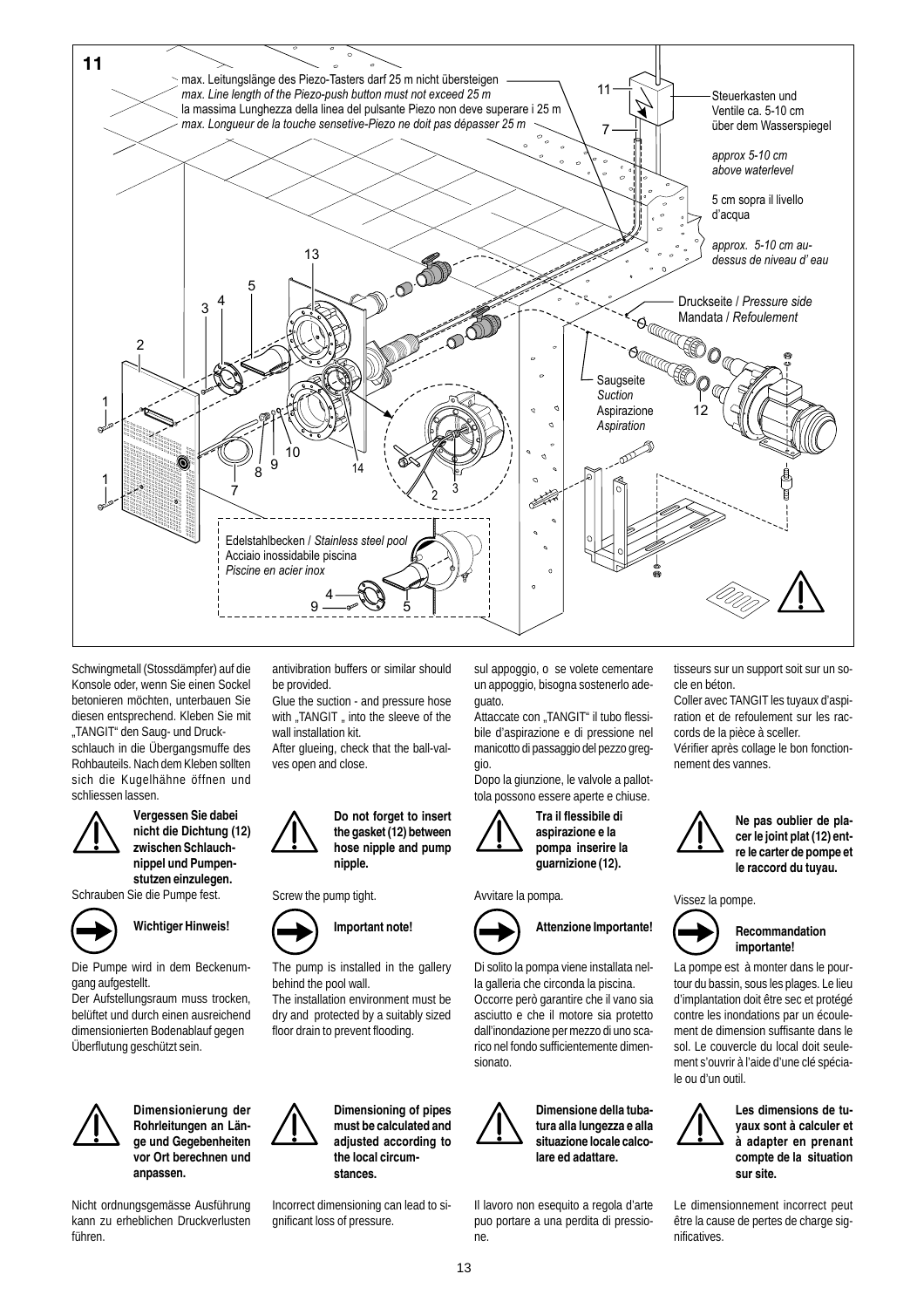

Schwingmetall (Stossdämpfer) auf die Konsole oder, wenn Sie einen Sockel betonieren möchten, unterbauen Sie diesen entsprechend. Kleben Sie mit "TANGIT" den Saug- und Druckschlauch in die Übergangsmuffe des Rohbauteils. Nach dem Kleben sollten sich die Kugelhähne öffnen und schliessen lassen.



**Vergessen Sie dabei nicht die Dichtung (12) zwischen Schlauchnippel und Pumpenstutzen einzulegen.**

Schrauben Sie die Pumpe fest.



**Wichtiger Hinweis!**

Die Pumpe wird in dem Beckenumgang aufgestellt.

Der Aufstellungsraum muss trocken, belüftet und durch einen ausreichend dimensionierten Bodenablauf gegen Überflutung geschützt sein.



**Dimensionierung der Rohrleitungen an Länge und Gegebenheiten vor Ort berechnen und anpassen.**

Nicht ordnungsgemässe Ausführung kann zu erheblichen Druckverlusten führen.

antivibration buffers or similar should be provided.

Glue the suction - and pressure hose with "TANGIT " into the sleeve of the wall installation kit.

After glueing, check that the ball-valves open and close.



Screw the pump tight.



The pump is installed in the gallery behind the pool wall.

The installation environment must be dry and protected by a suitably sized floor drain to prevent flooding.



Incorrect dimensioning can lead to significant loss of pressure.

sul appoggio, o se volete cementare un appoggio, bisogna sostenerlo adeguato.

Attaccate con "TANGIT" il tubo flessibile d'aspirazione e di pressione nel manicotto di passaggio del pezzo greggio.

Dopo la giunzione, le valvole a pallottola possono essere aperte e chiuse.



**Tra il flessibile di aspirazione e la pompa inserire la guarnizione (12).**

Avvitare la pompa.



**Attenzione Importante!** Di solito la pompa viene installata nel-

la galleria che circonda la piscina. Occorre però garantire che il vano sia asciutto e che il motore sia protetto dall'inondazione per mezzo di uno scarico nel fondo sufficientemente dimensionato.



**Dimensione della tubatura alla lungezza e alla situazione locale calcolare ed adattare.**

Il lavoro non esequito a regola d'arte puo portare a una perdita di pressione.

tisseurs sur un support soit sur un socle en béton.

Coller avec TANGIT les tuyaux d'aspiration et de refoulement sur les raccords de la pièce à sceller.

Vérifier après collage le bon fonctionnement des vannes.



**Ne pas oublier de placer le joint plat (12) entre le carter de pompe et le raccord du tuyau.**

Vissez la pompe.



**Recommandation importante!**

La pompe est à monter dans le pourtour du bassin, sous les plages. Le lieu d'implantation doit être sec et protégé contre les inondations par un écoulement de dimension suffisante dans le sol. Le couvercle du local doit seulement s'ouvrir à l'aide d'une clé spéciale ou d'un outil.



**Les dimensions de tuyaux sont à calculer et à adapter en prenant compte de la situation sur site.**

Le dimensionnement incorrect peut être la cause de pertes de charge significatives.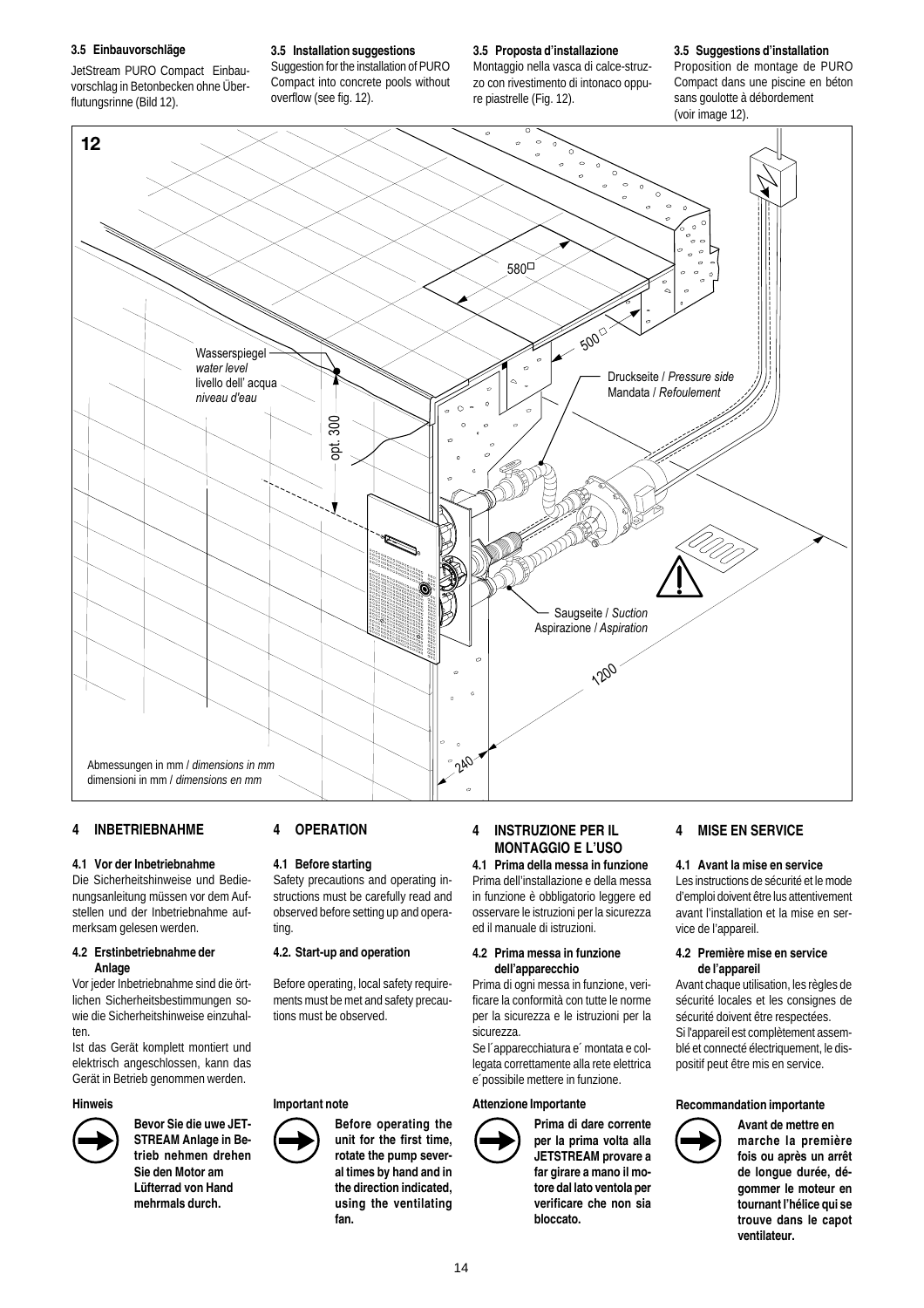#### **3.5 Einbauvorschläge**

JetStream PURO Compact Einbauvorschlag in Betonbecken ohne Überflutungsrinne (Bild 12).

**3.5 Installation suggestions**

Suggestion for the installation of PURO Compact into concrete pools without overflow (see fig. 12).

**3.5 Proposta d'installazione** Montaggio nella vasca di calce-struzzo con rivestimento di intonaco oppu-

re piastrelle (Fig. 12).

# **3.5 Suggestions d'installation**

Proposition de montage de PURO Compact dans une piscine en béton sans goulotte à débordement (voir image 12).



# **4 INBETRIEBNAHME**

# **4.1 Vor der Inbetriebnahme**

Die Sicherheitshinweise und Bedienungsanleitung müssen vor dem Aufstellen und der Inbetriebnahme aufmerksam gelesen werden.

#### **4.2 Erstinbetriebnahme der Anlage**

Vor jeder Inbetriebnahme sind die örtlichen Sicherheitsbestimmungen sowie die Sicherheitshinweise einzuhalten.

Ist das Gerät komplett montiert und elektrisch angeschlossen, kann das Gerät in Betrieb genommen werden.

#### **Hinweis**



**Bevor Sie die uwe JET-STREAM Anlage in Betrieb nehmen drehen Sie den Motor am Lüfterrad von Hand mehrmals durch.**

# **4 OPERATION**

# **4.1 Before starting**

Safety precautions and operating instructions must be carefully read and observed before setting up and operating.

#### **4.2. Start-up and operation**

Before operating, local safety requirements must be met and safety precautions must be observed.

#### **Important note**

**Before operating the unit for the first time, rotate the pump several times by hand and in the direction indicated, using the ventilating fan.**

# **4 INSTRUZIONE PER IL MONTAGGIO E L'USO 4.1 Prima della messa in funzione**

Prima dell'installazione e della messa in funzione è obbligatorio leggere ed osservare le istruzioni per la sicurezza ed il manuale di istruzioni.

#### **4.2 Prima messa in funzione dell'apparecchio**

Prima di ogni messa in funzione, verificare la conformità con tutte le norme per la sicurezza e le istruzioni per la sicurezza.

Se l´apparecchiatura e´ montata e collegata correttamente alla rete elettrica e´possibile mettere in funzione.

# **Attenzione Importante**



**Prima di dare corrente per la prima volta alla JETSTREAM provare a far girare a mano il motore dal lato ventola per verificare che non sia bloccato.**

# **4 MISE EN SERVICE**

#### **4.1 Avant la mise en service**

Les instructions de sécurité et le mode d'emploi doivent être lus attentivement avant l'installation et la mise en service de l'appareil.

#### **4.2 Première mise en service de l'appareil**

Avant chaque utilisation, les règles de sécurité locales et les consignes de sécurité doivent être respectées. Si l'appareil est complètement assemblé et connecté électriquement, le dispositif peut être mis en service.

#### **Recommandation importante**



**Avant de mettre en marche la première fois ou après un arrêt de longue durée, dégommer le moteur en tournant l'hélice qui se trouve dans le capot ventilateur.**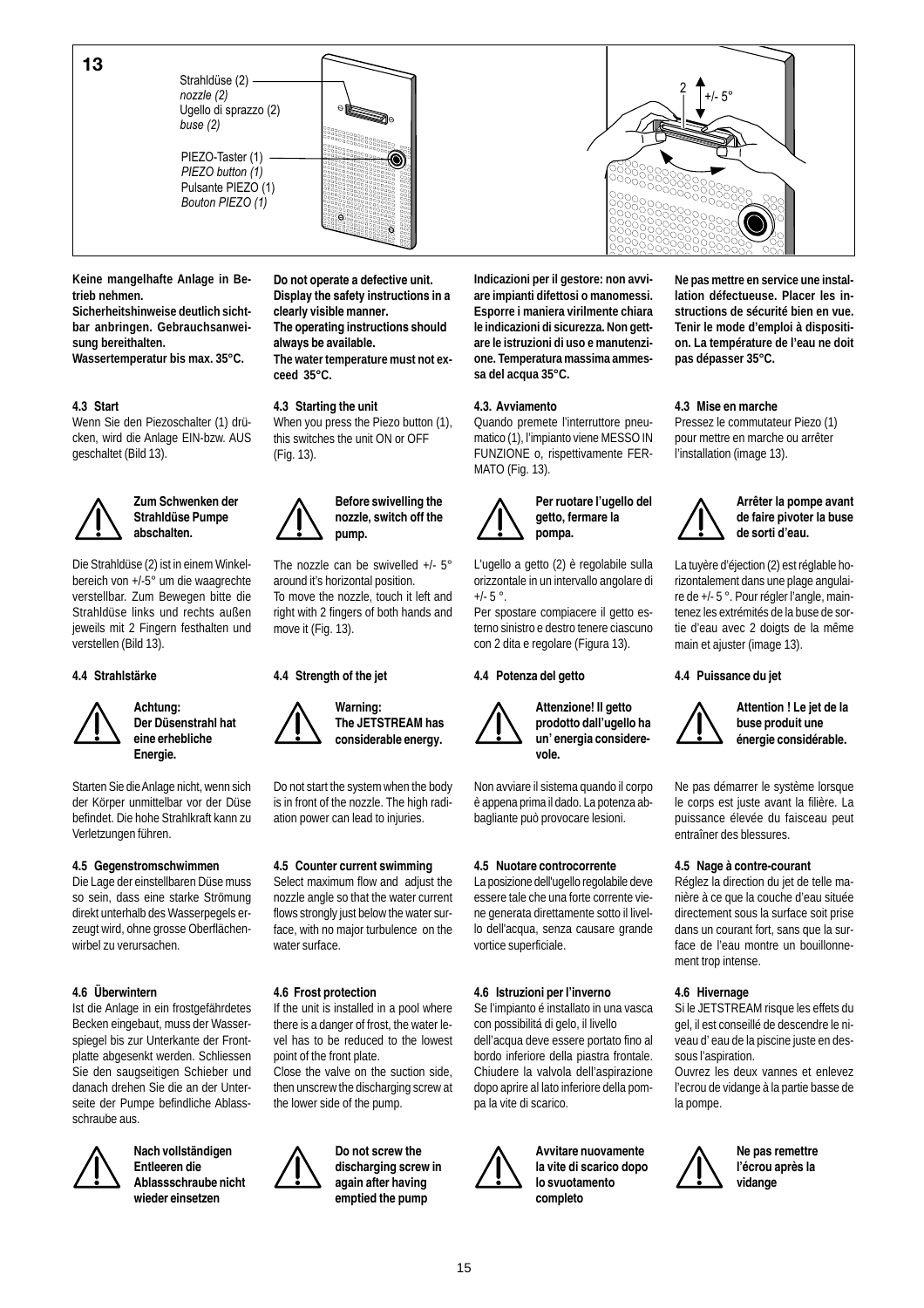Ugello di sprazzo (2) *nozzle (2) buse (2)*

PIEZO-Taster (1) -Pulsante PIEZO (1) *PIEZO button (1) Bouton PIEZO (1)*





**Keine mangelhafte Anlage in Betrieb nehmen.**

**Sicherheitshinweise deutlich sichtbar anbringen. Gebrauchsanweisung bereithalten.**

**Wassertemperatur bis max. 35°C.**

# **4.3 Start**

Wenn Sie den Piezoschalter (1) drücken, wird die Anlage EIN-bzw. AUS geschaltet (Bild 13).

# **Zum Schwenken der Strahldüse Pumpe abschalten.**

Die Strahldüse (2) ist in einem Winkelbereich von +/-5° um die waagrechte verstellbar. Zum Bewegen bitte die Strahldüse links und rechts außen jeweils mit 2 Fingern festhalten und verstellen (Bild 13).

#### **4.4 Strahlstärke**



**Achtung: Der Düsenstrahl hat eine erhebliche Energie.**

Starten Sie die Anlage nicht, wenn sich der Körper unmittelbar vor der Düse befindet. Die hohe Strahlkraft kann zu Verletzungen führen.

# **4.5 Gegenstromschwimmen**

Die Lage der einstellbaren Düse muss so sein, dass eine starke Strömung direkt unterhalb des Wasserpegels erzeugt wird, ohne grosse Oberflächenwirbel zu verursachen.

# **4.6 Überwintern**

Ist die Anlage in ein frostgefährdetes Becken eingebaut, muss der Wasserspiegel bis zur Unterkante der Frontplatte abgesenkt werden. Schliessen Sie den saugseitigen Schieber und danach drehen Sie die an der Unterseite der Pumpe befindliche Ablassschraube aus.



**Entleeren die Ablassschraube nicht wieder einsetzen**

**Nach vollständigen**

**Do not operate a defective unit. Display the safety instructions in a clearly visible manner. The operating instructions should always be available. The water temperature must not ex-**

**ceed 35°C.**

# **4.3 Starting the unit**

When you press the Piezo button (1), this switches the unit ON or OFF (Fig. 13).



The nozzle can be swivelled +/- 5° around it's horizontal position. To move the nozzle, touch it left and right with 2 fingers of both hands and move it (Fig. 13).

# **4.4 Strength of the jet**

**Warning: The JETSTREAM has considerable energy.**

Do not start the system when the body is in front of the nozzle. The high radiation power can lead to injuries.

# **4.5 Counter current swimming**

Select maximum flow and adjust the nozzle angle so that the water current flows strongly just below the water surface, with no major turbulence on the water surface.

# **4.6 Frost protection**

If the unit is installed in a pool where there is a danger of frost, the water level has to be reduced to the lowest point of the front plate.

Close the valve on the suction side, then unscrew the discharging screw at the lower side of the pump.



**discharging screw in again after having**

**Indicazioni per il gestore: non avviare impianti difettosi o manomessi. Esporre i maniera virilmente chiara le indicazioni di sicurezza. Non gettare le istruzioni di uso e manutenzione. Temperatura massima ammessa del acqua 35°C.**

#### **4.3. Avviamento**

Quando premete l'interruttore pneumatico (1), l'impianto viene MESSO IN FUNZIONE o, rispettivamente FER-MATO (Fig. 13).



**Per ruotare l'ugello del getto, fermare la pompa.**

L'ugello a getto (2) è regolabile sulla orizzontale in un intervallo angolare di  $+/- 5$   $^{\circ}$ .

Per spostare compiacere il getto esterno sinistro e destro tenere ciascuno con 2 dita e regolare (Figura 13).

# **4.4 Potenza del getto**



**Attenzione! Il getto prodotto dall'ugello ha un' energia considerevole.**

Non avviare il sistema quando il corpo è appena prima il dado. La potenza abbagliante può provocare lesioni.

#### **4.5 Nuotare controcorrente**

La posizione dell'ugello regolabile deve essere tale che una forte corrente viene generata direttamente sotto il livello dell'acqua, senza causare grande vortice superficiale.

#### **4.6 Istruzioni per l'inverno**

Se l'impianto é installato in una vasca con possibilitá di gelo, il livello dell'acqua deve essere portato fino al bordo inferiore della piastra frontale. Chiudere la valvola dell'aspirazione dopo aprire al lato inferiore della pompa la vite di scarico.



**Avvitare nuovamente la vite di scarico dopo lo svuotamento completo**

**Ne pas mettre en service une installation défectueuse. Placer les instructions de sécurité bien en vue. Tenir le mode d'emploi à disposition. La température de l'eau ne doit pas dépasser 35°C.**

#### **4.3 Mise en marche**

Pressez le commutateur Piezo (1) pour mettre en marche ou arrêter l'installation (image 13).



**Arrêter la pompe avant de faire pivoter la buse de sorti d'eau.**

La tuyère d'éjection (2) est réglable horizontalement dans une plage angulaire de +/- 5 °. Pour régler l'angle, maintenez les extrémités de la buse de sortie d'eau avec 2 doigts de la même main et ajuster (image 13).

#### **4.4 Puissance du jet**



**Attention ! Le jet de la buse produit une énergie considérable.**

Ne pas démarrer le système lorsque le corps est juste avant la filière. La puissance élevée du faisceau peut entraîner des blessures.

#### **4.5 Nage à contre-courant**

Réglez la direction du jet de telle manière à ce que la couche d'eau située directement sous la surface soit prise dans un courant fort, sans que la surface de l'eau montre un bouillonnement trop intense.

#### **4.6 Hivernage**

Si le JETSTREAM risque les effets du gel, il est conseillé de descendre le niveau d' eau de la piscine juste en dessous l'aspiration.

Ouvrez les deux vannes et enlevez l'ecrou de vidange à la partie basse de la pompe.



**Ne pas remettre l'écrou après la vidange**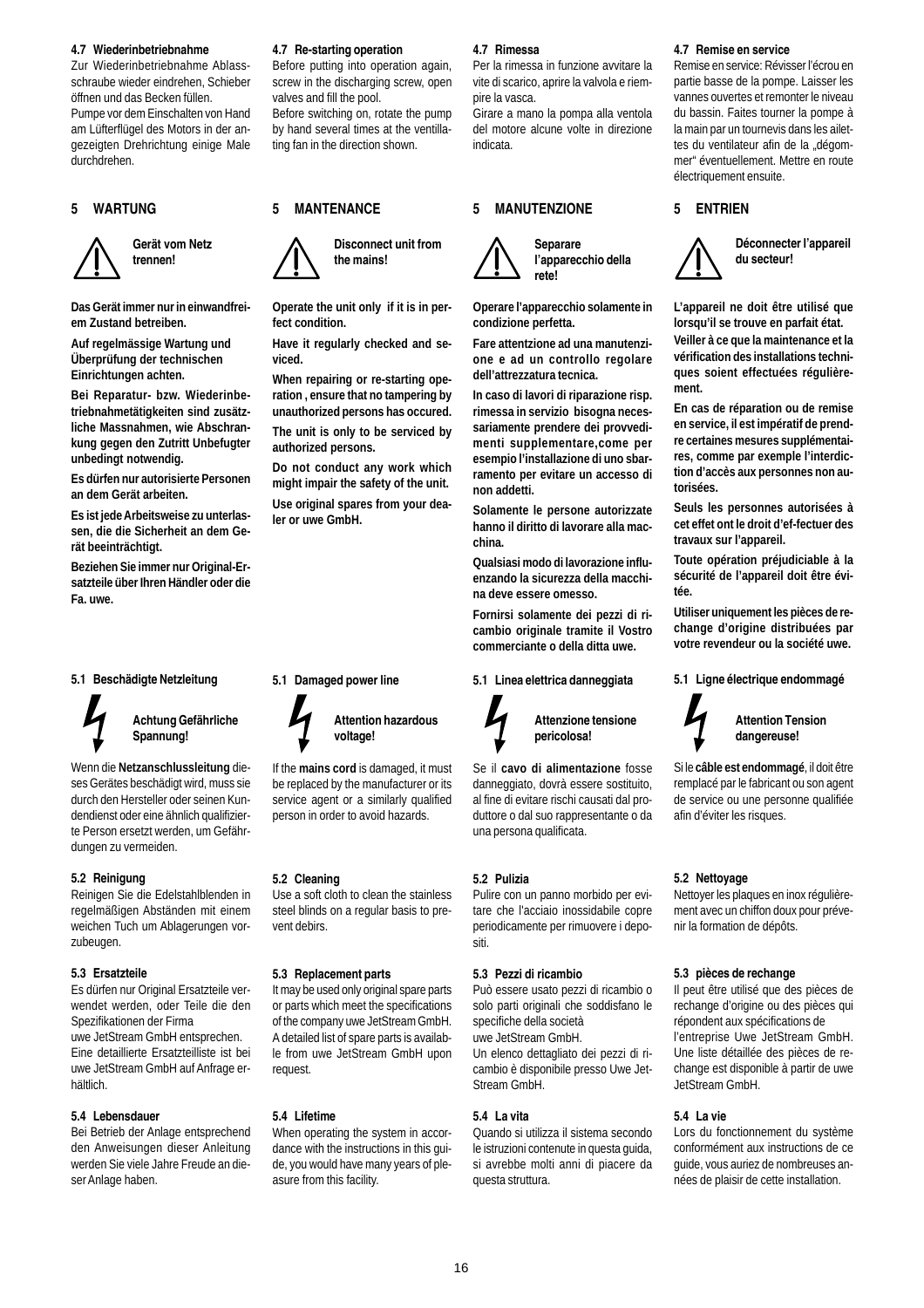#### **4.7 Wiederinbetriebnahme**

Zur Wiederinbetriebnahme Ablassschraube wieder eindrehen, Schieber öffnen und das Becken füllen. Pumpe vor dem Einschalten von Hand am Lüfterflügel des Motors in der angezeigten Drehrichtung einige Male durchdrehen.

# **5 WARTUNG**





**Das Gerät immer nur in einwandfreiem Zustand betreiben.**

**Auf regelmässige Wartung und Überprüfung der technischen Einrichtungen achten.**

**Bei Reparatur- bzw. Wiederinbetriebnahmetätigkeiten sind zusätzliche Massnahmen, wie Abschrankung gegen den Zutritt Unbefugter unbedingt notwendig.**

**Es dürfen nur autorisierte Personen an dem Gerät arbeiten.**

**Es ist jede Arbeitsweise zu unterlassen, die die Sicherheit an dem Gerät beeinträchtigt.**

**Beziehen Sie immer nur Original-Ersatzteile über Ihren Händler oder die Fa. uwe.**

#### **5.1 Beschädigte Netzleitung**

**Achtung Gefährliche Spannung!**

Wenn die **Netzanschlussleitung** dieses Gerätes beschädigt wird, muss sie durch den Hersteller oder seinen Kundendienst oder eine ähnlich qualifizierte Person ersetzt werden, um Gefährdungen zu vermeiden.

#### **5.2 Reinigung**

Reinigen Sie die Edelstahlblenden in regelmäßigen Abständen mit einem weichen Tuch um Ablagerungen vorzubeugen.

#### **5.3 Ersatzteile**

Es dürfen nur Original Ersatzteile verwendet werden, oder Teile die den Spezifikationen der Firma uwe JetStream GmbH entsprechen. Eine detaillierte Ersatzteilliste ist bei uwe JetStream GmbH auf Anfrage erhältlich.

#### **5.4 Lebensdauer**

Bei Betrieb der Anlage entsprechend den Anweisungen dieser Anleitung werden Sie viele Jahre Freude an dieser Anlage haben.

#### **4.7 Re-starting operation**

Before putting into operation again, screw in the discharging screw, open valves and fill the pool. Before switching on, rotate the pump

by hand several times at the ventillating fan in the direction shown.

#### **5 MANTENANCE**



**Operate the unit only if it is in perfect condition.**

**Have it regularly checked and seviced.**

**When repairing or re-starting operation , ensure that no tampering by unauthorized persons has occured. The unit is only to be serviced by**

**authorized persons. Do not conduct any work which might impair the safety of the unit.**

**Use original spares from your dealer or uwe GmbH.**

**5.1 Damaged power line**

**5.2 Cleaning**

vent debirs.

request.

**5.4 Lifetime**

asure from this facility.

**5.3 Replacement parts**

**voltage!**

If the **mains cord** is damaged, it must be replaced by the manufacturer or its service agent or a similarly qualified person in order to avoid hazards.

Use a soft cloth to clean the stainless steel blinds on a regular basis to pre-

It may be used only original spare parts or parts which meet the specifications of the company uwe JetStream GmbH. A detailed list of spare parts is available from uwe JetStream GmbH upon

When operating the system in accordance with the instructions in this guide, you would have many years of ple-

**Attention hazardous**

# **4.7 Rimessa**

Per la rimessa in funzione avvitare la vite di scarico, aprire la valvola e riempire la vasca.

Girare a mano la pompa alla ventola del motore alcune volte in direzione indicata.

#### **5 MANUTENZIONE**



**l'apparecchio della rete!**

**Operare l'apparecchio solamente in condizione perfetta.**

**Fare attentzione ad una manutenzione e ad un controllo regolare dell'attrezzatura tecnica.**

**In caso di lavori di riparazione risp. rimessa in servizio bisogna necessariamente prendere dei provvedimenti supplementare,come per esempio l'installazione di uno sbarramento per evitare un accesso di non addetti.**

**Solamente le persone autorizzate hanno il diritto di lavorare alla macchina.**

**Qualsiasi modo di lavorazione influenzando la sicurezza della macchina deve essere omesso.**

**Fornirsi solamente dei pezzi di ricambio originale tramite il Vostro commerciante o della ditta uwe.**

# **5.1 Linea elettrica danneggiata**



Se il **cavo di alimentazione** fosse danneggiato, dovrà essere sostituito, al fine di evitare rischi causati dal produttore o dal suo rappresentante o da

#### **5.2 Pulizia**

Pulire con un panno morbido per evitare che l'acciaio inossidabile copre periodicamente per rimuovere i depositi.

# **5.3 Pezzi di ricambio**

una persona qualificata.

Può essere usato pezzi di ricambio o solo parti originali che soddisfano le specifiche della società uwe JetStream GmbH. Un elenco dettagliato dei pezzi di ricambio è disponibile presso Uwe Jet-Stream GmbH.

#### **5.4 La vita**

Quando si utilizza il sistema secondo le istruzioni contenute in questa guida, si avrebbe molti anni di piacere da questa struttura.

#### **4.7 Remise en service**

Remise en service: Révisser l'écrou en partie basse de la pompe. Laisser les vannes ouvertes et remonter le niveau du bassin. Faites tourner la pompe à la main par un tournevis dans les ailettes du ventilateur afin de la "dégommer" éventuellement. Mettre en route électriquement ensuite.

#### **5 ENTRIEN**



**Déconnecter l'appareil du secteur!**

**L'appareil ne doit être utilisé que lorsqu'il se trouve en parfait état. Veiller à ce que la maintenance et la vérification des installations techniques soient effectuées régulièrement.**

**En cas de réparation ou de remise en service, il est impératif de prendre certaines mesures supplémentaires, comme par exemple l'interdiction d'accès aux personnes non autorisées.**

**Seuls les personnes autorisées à cet effet ont le droit d'ef-fectuer des travaux sur l'appareil.**

**Toute opération préjudiciable à la sécurité de l'appareil doit être évitée.**

**Utiliser uniquement les pièces de rechange d'origine distribuées par votre revendeur ou la société uwe.**

#### **5.1 Ligne électrique endommagé**



**Attention Tension dangereuse!**

Si le **câble est endommagé**, il doit être remplacé par le fabricant ou son agent de service ou une personne qualifiée afin d'éviter les risques.

#### **5.2 Nettoyage**

Nettoyer les plaques en inox régulièrement avec un chiffon doux pour prévenir la formation de dépôts.

#### **5.3 pièces de rechange**

Il peut être utilisé que des pièces de rechange d'origine ou des pièces qui répondent aux spécifications de l'entreprise Uwe JetStream GmbH. Une liste détaillée des pièces de rechange est disponible à partir de uwe JetStream GmbH.

#### **5.4 La vie**

Lors du fonctionnement du système conformément aux instructions de ce guide, vous auriez de nombreuses années de plaisir de cette installation.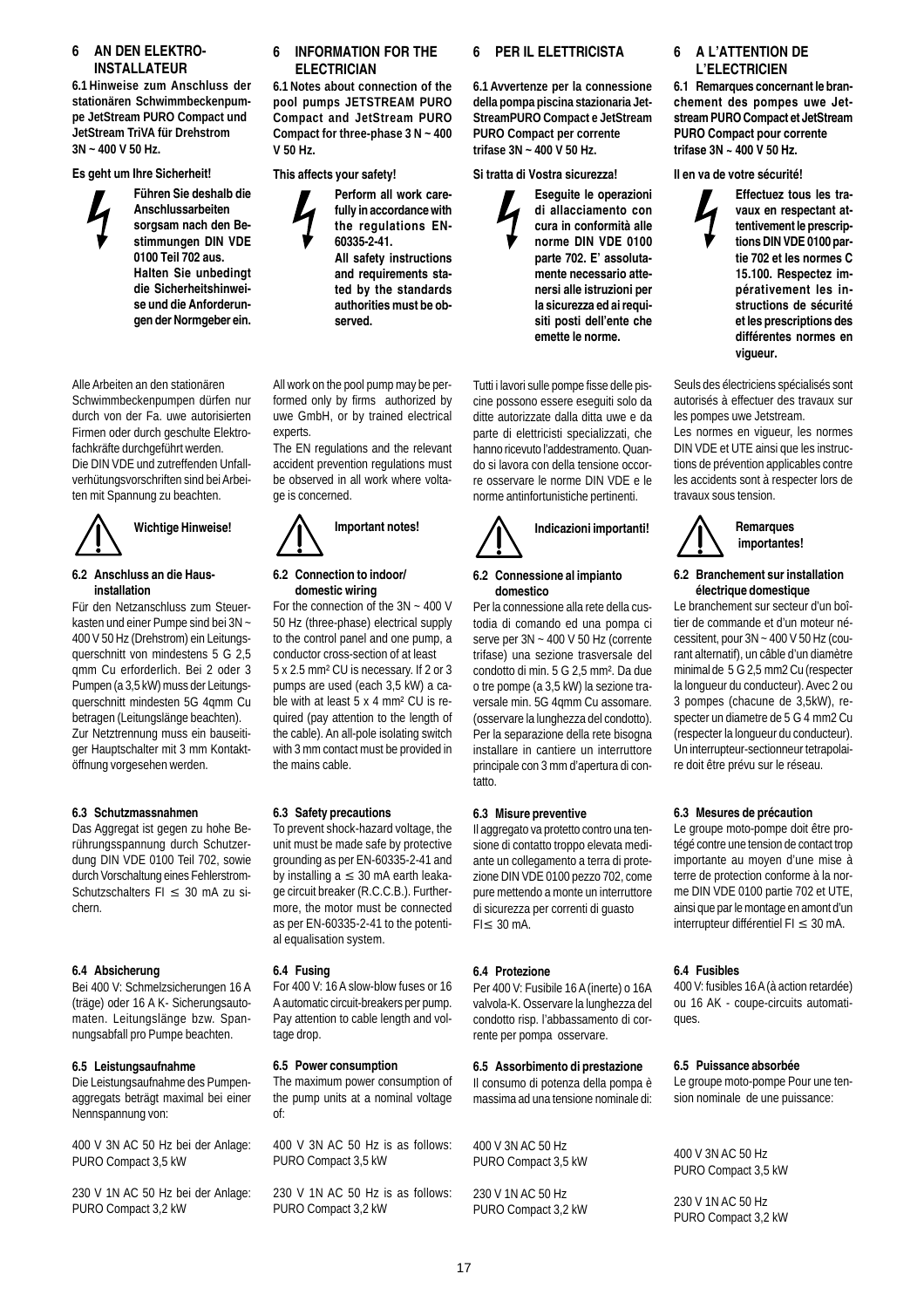# **6 AN DEN ELEKTRO-INSTALLATEUR**

**6.1 Hinweise zum Anschluss der stationären Schwimmbeckenpumpe JetStream PURO Compact und JetStream TriVA für Drehstrom 3N ~ 400 V 50 Hz.**

#### **Es geht um Ihre Sicherheit!**

**Führen Sie deshalb die Anschlussarbeiten sorgsam nach den Bestimmungen DIN VDE 0100 Teil 702 aus. Halten Sie unbedingt die Sicherheitshinweise und die Anforderungen der Normgeber ein.**

Alle Arbeiten an den stationären Schwimmbeckenpumpen dürfen nur durch von der Fa. uwe autorisierten Firmen oder durch geschulte Elektrofachkräfte durchgeführt werden. Die DIN VDE und zutreffenden Unfallverhütungsvorschriften sind bei Arbeiten mit Spannung zu beachten.



#### **6.2 Anschluss an die Hausinstallation**

Für den Netzanschluss zum Steuerkasten und einer Pumpe sind bei 3N ~ 400 V 50 Hz (Drehstrom) ein Leitungsquerschnitt von mindestens 5 G 2,5 qmm Cu erforderlich. Bei 2 oder 3 Pumpen (a 3,5 kW) muss der Leitungsquerschnitt mindesten 5G 4qmm Cu betragen (Leitungslänge beachten). Zur Netztrennung muss ein bauseitiger Hauptschalter mit 3 mm Kontaktöffnung vorgesehen werden.

# **6.3 Schutzmassnahmen**

Das Aggregat ist gegen zu hohe Berührungsspannung durch Schutzerdung DIN VDE 0100 Teil 702, sowie durch Vorschaltung eines Fehlerstrom-Schutzschalters FI ≤ 30 mA zu sichern.

#### **6.4 Absicherung**

Bei 400 V: Schmelzsicherungen 16 A (träge) oder 16 A K- Sicherungsautomaten. Leitungslänge bzw. Spannungsabfall pro Pumpe beachten.

#### **6.5 Leistungsaufnahme**

Die Leistungsaufnahme des Pumpenaggregats beträgt maximal bei einer Nennspannung von:

400 V 3N AC 50 Hz bei der Anlage: PURO Compact 3,5 kW

230 V 1N AC 50 Hz bei der Anlage: PURO Compact 3,2 kW

# **6 INFORMATION FOR THE ELECTRICIAN**

**6.1 Notes about connection of the pool pumps JETSTREAM PURO Compact and JetStream PURO Compact for three-phase 3 N ~ 400 V 50 Hz.**

# **This affects your safety!**



All work on the pool pump may be performed only by firms authorized by uwe GmbH, or by trained electrical experts.

The EN regulations and the relevant accident prevention regulations must be observed in all work where voltage is concerned.



#### **6.2 Connection to indoor/ domestic wiring**

For the connection of the 3N ~ 400 V 50 Hz (three-phase) electrical supply to the control panel and one pump, a conductor cross-section of at least 5 x 2.5 mm² CU is necessary. If 2 or 3 pumps are used (each 3,5 kW) a cable with at least 5 x 4 mm² CU is required (pay attention to the length of the cable). An all-pole isolating switch with 3 mm contact must be provided in the mains cable.

#### **6.3 Safety precautions**

To prevent shock-hazard voltage, the unit must be made safe by protective grounding as per EN-60335-2-41 and by installing  $a \leq 30$  mA earth leakage circuit breaker (R.C.C.B.). Furthermore, the motor must be connected as per EN-60335-2-41 to the potential equalisation system.

#### **6.4 Fusing**

For 400 V: 16 A slow-blow fuses or 16 A automatic circuit-breakers per pump. Pay attention to cable length and voltage drop.

#### **6.5 Power consumption**

The maximum power consumption of the pump units at a nominal voltage of:

400 V 3N AC 50 Hz is as follows: PURO Compact 3,5 kW

230 V 1N AC 50 Hz is as follows: PURO Compact 3,2 kW

# **6 PER IL ELETTRICISTA**

**6.1 Avvertenze per la connessione della pompa piscina stazionaria Jet-StreamPURO Compact e JetStream PURO Compact per corrente trifase 3N ~ 400 V 50 Hz.**

#### **Si tratta di Vostra sicurezza!**



Tutti i lavori sulle pompe fisse delle piscine possono essere eseguiti solo da ditte autorizzate dalla ditta uwe e da parte di elettricisti specializzati, che hanno ricevuto l'addestramento. Quando si lavora con della tensione occorre osservare le norme DIN VDE e le norme antinfortunistiche pertinenti.



#### **6.2 Connessione al impianto domestico**

Per la connessione alla rete della custodia di comando ed una pompa ci serve per 3N ~ 400 V 50 Hz (corrente trifase) una sezione trasversale del condotto di min. 5 G 2,5 mm². Da due o tre pompe (a 3,5 kW) la sezione traversale min. 5G 4qmm Cu assomare. (osservare la lunghezza del condotto). Per la separazione della rete bisogna installare in cantiere un interruttore principale con 3 mm d'apertura di contatto.

#### **6.3 Misure preventive**

Il aggregato va protetto contro una tensione di contatto troppo elevata mediante un collegamento a terra di protezione DIN VDE 0100 pezzo 702, come pure mettendo a monte un interruttore di sicurezza per correnti di guasto FI≤ 30 mA.

#### **6.4 Protezione**

Per 400 V: Fusibile 16 A (inerte) o 16A valvola-K. Osservare la lunghezza del condotto risp. l'abbassamento di corrente per pompa osservare.

#### **6.5 Assorbimento di prestazione**

Il consumo di potenza della pompa è massima ad una tensione nominale di:

400 V 3N AC 50 Hz PURO Compact 3,5 kW

230 V 1N AC 50 Hz PURO Compact 3,2 kW

# **6 A L'ATTENTION DE L'ELECTRICIEN**

**6.1 Remarques concernant le branchement des pompes uwe Jetstream PURO Compact et JetStream PURO Compact pour corrente trifase 3N ~ 400 V 50 Hz.**

**Il en va de votre sécurité!**

**Effectuez tous les travaux en respectant attentivement le prescriptions DIN VDE 0100 partie 702 et les normes C 15.100. Respectez impérativement les instructions de sécurité et les prescriptions des différentes normes en vigueur.**

Seuls des électriciens spécialisés sont autorisés à effectuer des travaux sur les pompes uwe Jetstream.

Les normes en vigueur, les normes DIN VDE et UTE ainsi que les instructions de prévention applicables contre les accidents sont à respecter lors de travaux sous tension.



#### **6.2 Branchement sur installation électrique domestique**

Le branchement sur secteur d'un boîtier de commande et d'un moteur nécessitent, pour 3N ~ 400 V 50 Hz (courant alternatif), un câble d'un diamètre minimal de 5 G 2,5 mm2 Cu (respecter la longueur du conducteur). Avec 2 ou 3 pompes (chacune de 3,5kW), respecter un diametre de 5 G 4 mm2 Cu (respecter la longueur du conducteur). Un interrupteur-sectionneur tetrapolaire doit être prévu sur le réseau.

#### **6.3 Mesures de précaution**

Le groupe moto-pompe doit être protégé contre une tension de contact trop importante au moyen d'une mise à terre de protection conforme à la norme DIN VDE 0100 partie 702 et UTE, ainsi que par le montage en amont d'un interrupteur différentiel FI ≤ 30 mA.

#### **6.4 Fusibles**

400 V: fusibles 16 A (à action retardée) ou 16 AK - coupe-circuits automatiques.

#### **6.5 Puissance absorbée**

Le groupe moto-pompe Pour une tension nominale de une puissance:

400 V 3N AC 50 Hz PURO Compact 3,5 kW

230 V 1N AC 50 Hz PURO Compact 3,2 kW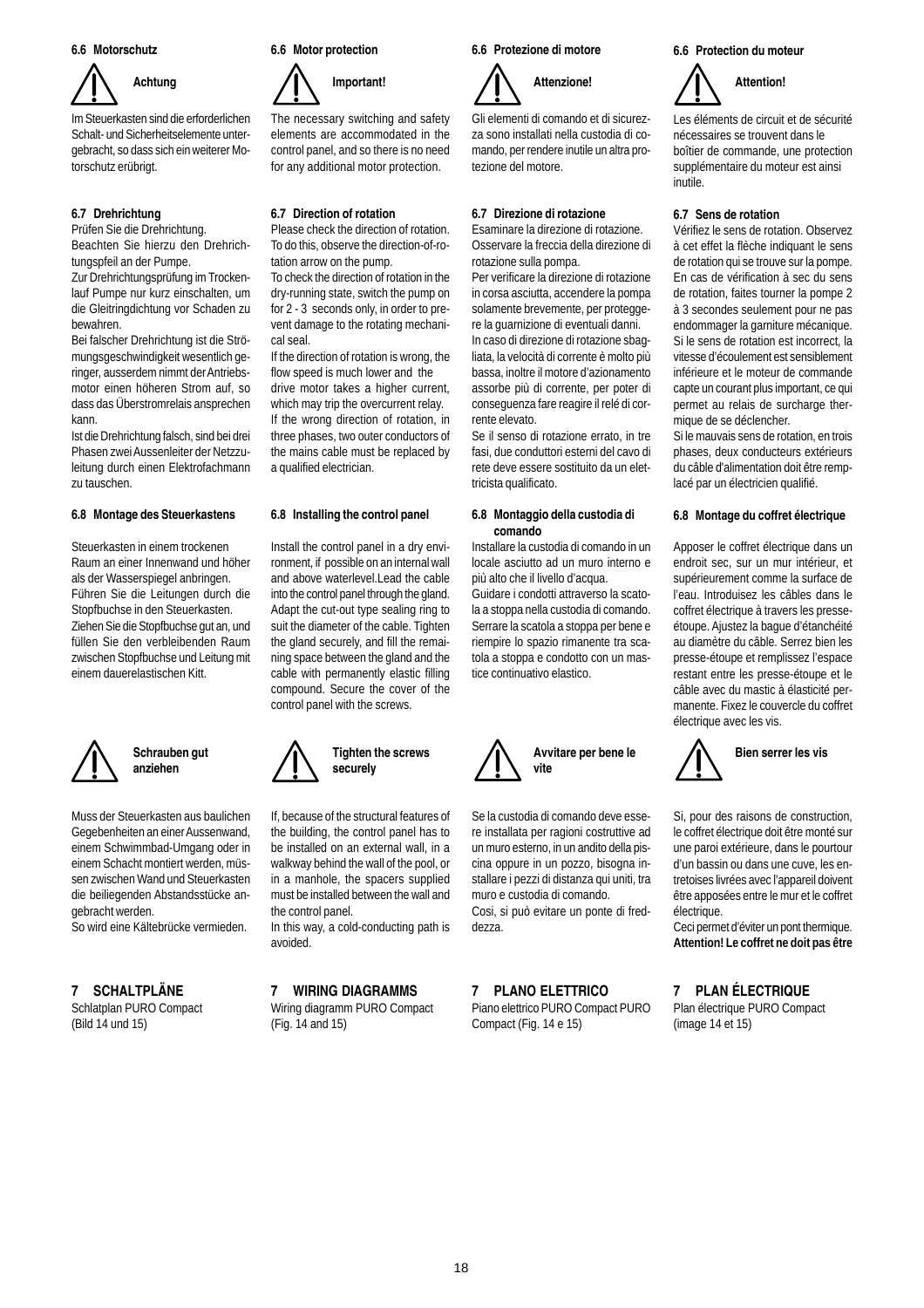#### **6.6 Motorschutz**



Im Steuerkasten sind die erforderlichen Schalt- und Sicherheitselemente untergebracht, so dass sich ein weiterer Motorschutz erübrigt.

# **6.7 Drehrichtung**

Prüfen Sie die Drehrichtung. Beachten Sie hierzu den Drehrichtungspfeil an der Pumpe.

Zur Drehrichtungsprüfung im Trockenlauf Pumpe nur kurz einschalten, um die Gleitringdichtung vor Schaden zu bewahren.

Bei falscher Drehrichtung ist die Strömungsgeschwindigkeit wesentlich geringer, ausserdem nimmt der Antriebsmotor einen höheren Strom auf, so dass das Überstromrelais ansprechen kann.

Ist die Drehrichtung falsch, sind bei drei Phasen zwei Aussenleiter der Netzzuleitung durch einen Elektrofachmann zu tauschen.

#### **6.8 Montage des Steuerkastens**

Steuerkasten in einem trockenen Raum an einer Innenwand und höher als der Wasserspiegel anbringen. Führen Sie die Leitungen durch die Stopfbuchse in den Steuerkasten. Ziehen Sie die Stopfbuchse gut an, und füllen Sie den verbleibenden Raum zwischen Stopfbuchse und Leitung mit einem dauerelastischen Kitt.



# **Schrauben gut anziehen**

Muss der Steuerkasten aus baulichen Gegebenheiten an einer Aussenwand, einem Schwimmbad-Umgang oder in einem Schacht montiert werden, müssen zwischen Wand und Steuerkasten die beiliegenden Abstandsstücke angebracht werden.

So wird eine Kältebrücke vermieden.

# **7 SCHALTPLÄNE**

Schlatplan PURO Compact (Bild 14 und 15)

#### **6.6 Motor protection**



The necessary switching and safety elements are accommodated in the control panel, and so there is no need for any additional motor protection.

# **6.7 Direction of rotation**

Please check the direction of rotation. To do this, observe the direction-of-rotation arrow on the pump.

To check the direction of rotation in the dry-running state, switch the pump on for 2 - 3 seconds only, in order to prevent damage to the rotating mechanical seal.

If the direction of rotation is wrong, the flow speed is much lower and the drive motor takes a higher current, which may trip the overcurrent relay. If the wrong direction of rotation, in three phases, two outer conductors of the mains cable must be replaced by a qualified electrician.

#### **6.8 Installing the control panel**

Install the control panel in a dry environment, if possible on an internal wall and above waterlevel.Lead the cable into the control panel through the gland. Adapt the cut-out type sealing ring to suit the diameter of the cable. Tighten the gland securely, and fill the remaining space between the gland and the cable with permanently elastic filling compound. Secure the cover of the control panel with the screws.



If, because of the structural features of the building, the control panel has to be installed on an external wall, in a walkway behind the wall of the pool, or in a manhole, the spacers supplied must be installed between the wall and the control panel.

In this way, a cold-conducting path is avoided.

# **7 WIRING DIAGRAMMS**

Wiring diagramm PURO Compact (Fig. 14 and 15)

# **6.6 Protezione di motore**



Gli elementi di comando et di sicurezza sono installati nella custodia di comando, per rendere inutile un altra protezione del motore.

# **6.7 Direzione di rotazione**

Esaminare la direzione di rotazione. Osservare la freccia della direzione di rotazione sulla pompa.

Per verificare la direzione di rotazione in corsa asciutta, accendere la pompa solamente brevemente, per proteggere la guarnizione di eventuali danni. In caso di direzione di rotazione sbagliata, la velocità di corrente è molto più bassa, inoltre il motore d'azionamento assorbe più di corrente, per poter di conseguenza fare reagire il relé di corrente elevato.

Se il senso di rotazione errato, in tre fasi, due conduttori esterni del cavo di rete deve essere sostituito da un elettricista qualificato.

#### **6.8 Montaggio della custodia di comando**

Installare la custodia di comando in un locale asciutto ad un muro interno e più alto che il livello d'acqua.

Guidare i condotti attraverso la scatola a stoppa nella custodia di comando. Serrare la scatola a stoppa per bene e riempire lo spazio rimanente tra scatola a stoppa e condotto con un mastice continuativo elastico.



Se la custodia di comando deve essere installata per ragioni costruttive ad un muro esterno, in un andito della piscina oppure in un pozzo, bisogna installare i pezzi di distanza qui uniti, tra muro e custodia di comando. Cosi, si può evitare un ponte di freddezza.

**7 PLANO ELETTRICO**

Piano elettrico PURO Compact PURO Compact (Fig. 14 e 15)

# **6.6 Protection du moteur**



Les éléments de circuit et de sécurité nécessaires se trouvent dans le boîtier de commande, une protection supplémentaire du moteur est ainsi inutile.

### **6.7 Sens de rotation**

Vérifiez le sens de rotation. Observez à cet effet la flèche indiquant le sens de rotation qui se trouve sur la pompe. En cas de vérification à sec du sens de rotation, faites tourner la pompe 2 à 3 secondes seulement pour ne pas endommager la garniture mécanique. Si le sens de rotation est incorrect, la vitesse d'écoulement est sensiblement inférieure et le moteur de commande capte un courant plus important, ce qui permet au relais de surcharge thermique de se déclencher.

Si le mauvais sens de rotation, en trois phases, deux conducteurs extérieurs du câble d'alimentation doit être remplacé par un électricien qualifié.

#### **6.8 Montage du coffret électrique**

Apposer le coffret électrique dans un endroit sec, sur un mur intérieur, et supérieurement comme la surface de l'eau. Introduisez les câbles dans le coffret électrique à travers les presseétoupe. Ajustez la bague d'étanchéité au diamètre du câble. Serrez bien les presse-étoupe et remplissez l'espace restant entre les presse-étoupe et le câble avec du mastic à élasticité permanente. Fixez le couvercle du coffret électrique avec les vis.



Si, pour des raisons de construction, le coffret électrique doit être monté sur une paroi extérieure, dans le pourtour d'un bassin ou dans une cuve, les entretoises livrées avec l'appareil doivent être apposées entre le mur et le coffret électrique.

Ceci permet d'éviter un pont thermique. **Attention! Le coffret ne doit pas être**

# **7 PLAN ÉLECTRIQUE**

Plan électrique PURO Compact (image 14 et 15)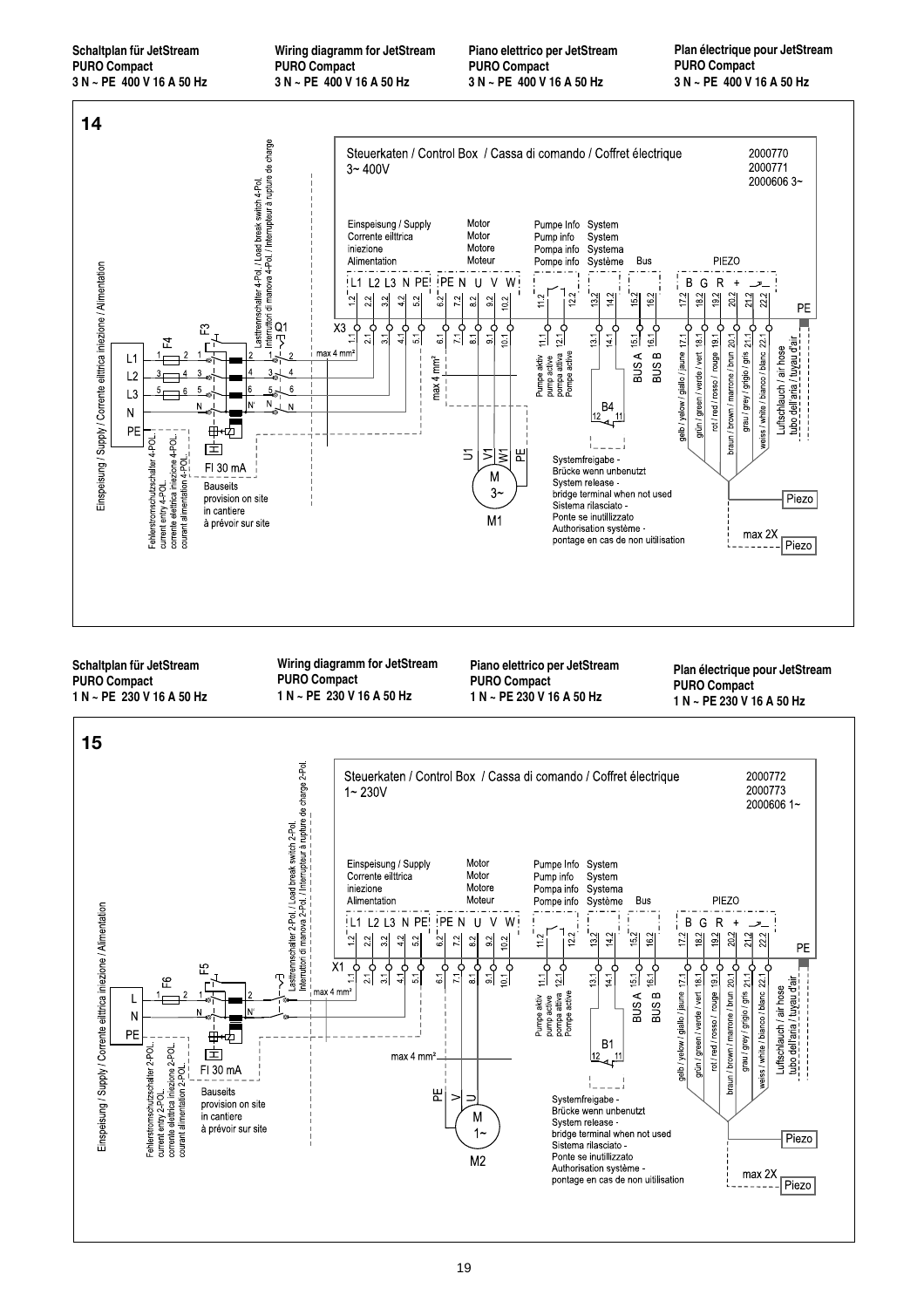**Schaltplan für JetStream PURO Compact 3 N ~ PE 400 V 16 A 50 Hz** **Wiring diagramm for JetStream PURO Compact 3 N ~ PE 400 V 16 A 50 Hz**

**Piano elettrico per JetStream PURO Compact 3 N ~ PE 400 V 16 A 50 Hz**

**Plan électrique pour JetStream PURO Compact 3 N ~ PE 400 V 16 A 50 Hz**